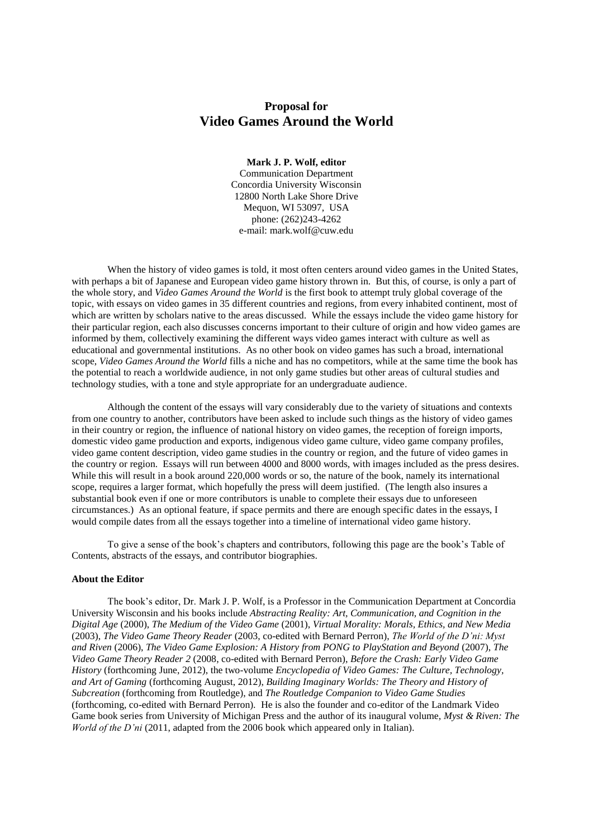# **Proposal for Video Games Around the World**

## **Mark J. P. Wolf, editor**

Communication Department Concordia University Wisconsin 12800 North Lake Shore Drive Mequon, WI 53097, USA phone: (262)243-4262 e-mail: mark.wolf@cuw.edu

When the history of video games is told, it most often centers around video games in the United States, with perhaps a bit of Japanese and European video game history thrown in. But this, of course, is only a part of the whole story, and *Video Games Around the World* is the first book to attempt truly global coverage of the topic, with essays on video games in 35 different countries and regions, from every inhabited continent, most of which are written by scholars native to the areas discussed. While the essays include the video game history for their particular region, each also discusses concerns important to their culture of origin and how video games are informed by them, collectively examining the different ways video games interact with culture as well as educational and governmental institutions. As no other book on video games has such a broad, international scope, *Video Games Around the World* fills a niche and has no competitors, while at the same time the book has the potential to reach a worldwide audience, in not only game studies but other areas of cultural studies and technology studies, with a tone and style appropriate for an undergraduate audience.

Although the content of the essays will vary considerably due to the variety of situations and contexts from one country to another, contributors have been asked to include such things as the history of video games in their country or region, the influence of national history on video games, the reception of foreign imports, domestic video game production and exports, indigenous video game culture, video game company profiles, video game content description, video game studies in the country or region, and the future of video games in the country or region. Essays will run between 4000 and 8000 words, with images included as the press desires. While this will result in a book around 220,000 words or so, the nature of the book, namely its international scope, requires a larger format, which hopefully the press will deem justified. (The length also insures a substantial book even if one or more contributors is unable to complete their essays due to unforeseen circumstances.) As an optional feature, if space permits and there are enough specific dates in the essays, I would compile dates from all the essays together into a timeline of international video game history.

To give a sense of the book's chapters and contributors, following this page are the book's Table of Contents, abstracts of the essays, and contributor biographies.

#### **About the Editor**

The book's editor, Dr. Mark J. P. Wolf, is a Professor in the Communication Department at Concordia University Wisconsin and his books include *Abstracting Reality: Art, Communication, and Cognition in the Digital Age* (2000), *The Medium of the Video Game* (2001), *Virtual Morality: Morals, Ethics, and New Media*  (2003), *The Video Game Theory Reader* (2003, co-edited with Bernard Perron), *The World of the D'ni: Myst and Riven* (2006), *The Video Game Explosion: A History from PONG to PlayStation and Beyond* (2007), *The Video Game Theory Reader 2* (2008, co-edited with Bernard Perron), *Before the Crash: Early Video Game History* (forthcoming June, 2012), the two-volume *Encyclopedia of Video Games: The Culture, Technology, and Art of Gaming* (forthcoming August, 2012), *Building Imaginary Worlds: The Theory and History of Subcreation* (forthcoming from Routledge), and *The Routledge Companion to Video Game Studies* (forthcoming, co-edited with Bernard Perron). He is also the founder and co-editor of the Landmark Video Game book series from University of Michigan Press and the author of its inaugural volume, *Myst & Riven: The World of the D'ni* (2011, adapted from the 2006 book which appeared only in Italian).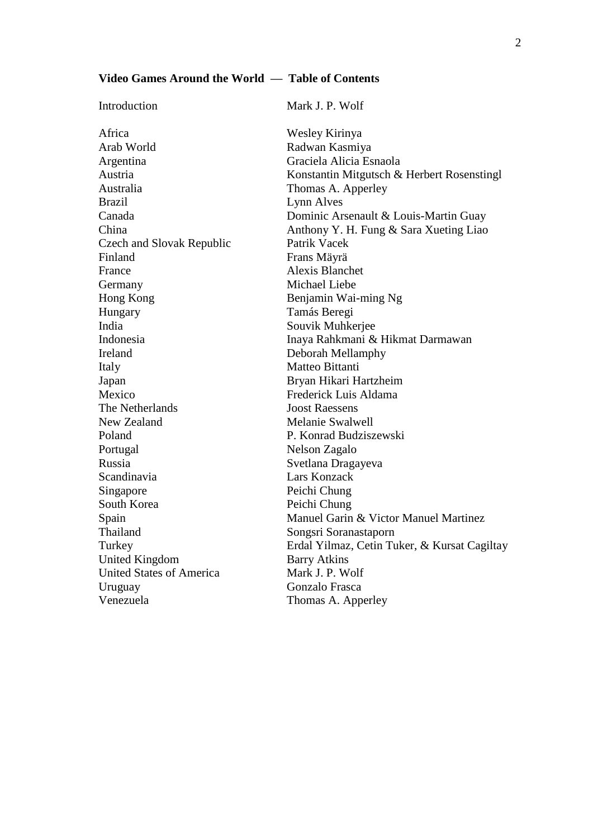# **Video Games Around the World — Table of Contents**

| Introduction                     | Mark J. P. Wolf                              |
|----------------------------------|----------------------------------------------|
| Africa                           | Wesley Kirinya                               |
| Arab World                       | Radwan Kasmiya                               |
| Argentina                        | Graciela Alicia Esnaola                      |
| Austria                          | Konstantin Mitgutsch & Herbert Rosenstingl   |
| Australia                        | Thomas A. Apperley                           |
| <b>Brazil</b>                    | Lynn Alves                                   |
| Canada                           | Dominic Arsenault & Louis-Martin Guay        |
| China                            | Anthony Y. H. Fung & Sara Xueting Liao       |
| <b>Czech and Slovak Republic</b> | Patrik Vacek                                 |
| Finland                          | Frans Mäyrä                                  |
| France                           | <b>Alexis Blanchet</b>                       |
| Germany                          | Michael Liebe                                |
| Hong Kong                        | Benjamin Wai-ming Ng                         |
| Hungary                          | Tamás Beregi                                 |
| India                            | Souvik Muhkerjee                             |
| Indonesia                        | Inaya Rahkmani & Hikmat Darmawan             |
| Ireland                          | Deborah Mellamphy                            |
| Italy                            | Matteo Bittanti                              |
| Japan                            | Bryan Hikari Hartzheim                       |
| Mexico                           | Frederick Luis Aldama                        |
| The Netherlands                  | <b>Joost Raessens</b>                        |
| New Zealand                      | <b>Melanie Swalwell</b>                      |
| Poland                           | P. Konrad Budziszewski                       |
| Portugal                         | Nelson Zagalo                                |
| Russia                           | Svetlana Dragayeva                           |
| Scandinavia                      | Lars Konzack                                 |
| Singapore                        | Peichi Chung                                 |
| South Korea                      | Peichi Chung                                 |
| Spain                            | Manuel Garin & Victor Manuel Martinez        |
| Thailand                         | Songsri Soranastaporn                        |
| Turkey                           | Erdal Yilmaz, Cetin Tuker, & Kursat Cagiltay |
| <b>United Kingdom</b>            | <b>Barry Atkins</b>                          |
| <b>United States of America</b>  | Mark J. P. Wolf                              |
| Uruguay                          | Gonzalo Frasca                               |
| Venezuela                        | Thomas A. Apperley                           |
|                                  |                                              |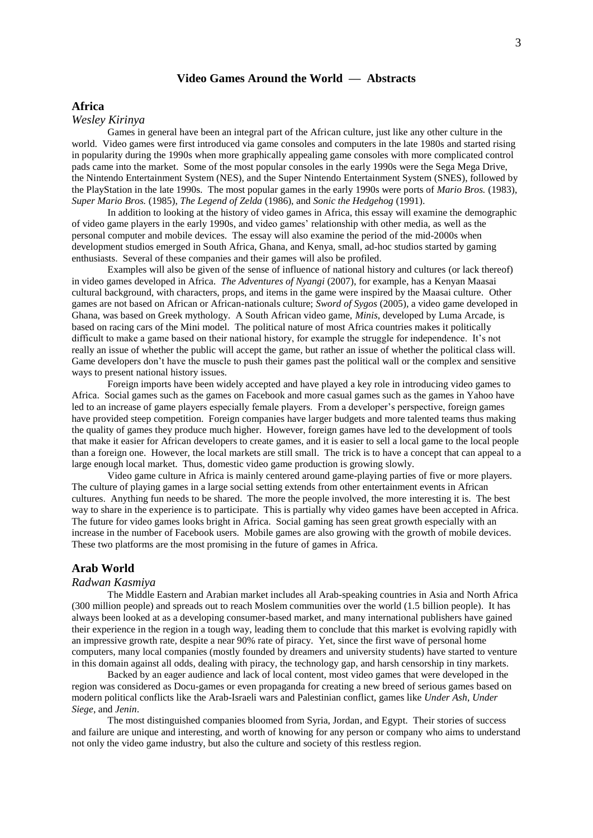# **Video Games Around the World — Abstracts**

## **Africa**

## *Wesley Kirinya*

Games in general have been an integral part of the African culture, just like any other culture in the world. Video games were first introduced via game consoles and computers in the late 1980s and started rising in popularity during the 1990s when more graphically appealing game consoles with more complicated control pads came into the market. Some of the most popular consoles in the early 1990s were the Sega Mega Drive, the Nintendo Entertainment System (NES), and the Super Nintendo Entertainment System (SNES), followed by the PlayStation in the late 1990s. The most popular games in the early 1990s were ports of *Mario Bros.* (1983), *Super Mario Bros.* (1985), *The Legend of Zelda* (1986), and *Sonic the Hedgehog* (1991).

In addition to looking at the history of video games in Africa, this essay will examine the demographic of video game players in the early 1990s, and video games' relationship with other media, as well as the personal computer and mobile devices. The essay will also examine the period of the mid-2000s when development studios emerged in South Africa, Ghana, and Kenya, small, ad-hoc studios started by gaming enthusiasts. Several of these companies and their games will also be profiled.

Examples will also be given of the sense of influence of national history and cultures (or lack thereof) in video games developed in Africa. *The Adventures of Nyangi* (2007), for example, has a Kenyan Maasai cultural background, with characters, props, and items in the game were inspired by the Maasai culture. Other games are not based on African or African-nationals culture; *Sword of Sygos* (2005), a video game developed in Ghana, was based on Greek mythology. A South African video game, *Minis*, developed by Luma Arcade, is based on racing cars of the Mini model. The political nature of most Africa countries makes it politically difficult to make a game based on their national history, for example the struggle for independence. It's not really an issue of whether the public will accept the game, but rather an issue of whether the political class will. Game developers don't have the muscle to push their games past the political wall or the complex and sensitive ways to present national history issues.

Foreign imports have been widely accepted and have played a key role in introducing video games to Africa. Social games such as the games on Facebook and more casual games such as the games in Yahoo have led to an increase of game players especially female players. From a developer's perspective, foreign games have provided steep competition. Foreign companies have larger budgets and more talented teams thus making the quality of games they produce much higher. However, foreign games have led to the development of tools that make it easier for African developers to create games, and it is easier to sell a local game to the local people than a foreign one. However, the local markets are still small. The trick is to have a concept that can appeal to a large enough local market. Thus, domestic video game production is growing slowly.

Video game culture in Africa is mainly centered around game-playing parties of five or more players. The culture of playing games in a large social setting extends from other entertainment events in African cultures. Anything fun needs to be shared. The more the people involved, the more interesting it is. The best way to share in the experience is to participate. This is partially why video games have been accepted in Africa. The future for video games looks bright in Africa. Social gaming has seen great growth especially with an increase in the number of Facebook users. Mobile games are also growing with the growth of mobile devices. These two platforms are the most promising in the future of games in Africa.

## **Arab World**

## *Radwan Kasmiya*

The Middle Eastern and Arabian market includes all Arab-speaking countries in Asia and North Africa (300 million people) and spreads out to reach Moslem communities over the world (1.5 billion people). It has always been looked at as a developing consumer-based market, and many international publishers have gained their experience in the region in a tough way, leading them to conclude that this market is evolving rapidly with an impressive growth rate, despite a near 90% rate of piracy. Yet, since the first wave of personal home computers, many local companies (mostly founded by dreamers and university students) have started to venture in this domain against all odds, dealing with piracy, the technology gap, and harsh censorship in tiny markets.

Backed by an eager audience and lack of local content, most video games that were developed in the region was considered as Docu-games or even propaganda for creating a new breed of serious games based on modern political conflicts like the Arab-Israeli wars and Palestinian conflict, games like *Under Ash*, *Under Siege*, and *Jenin*.

The most distinguished companies bloomed from Syria, Jordan, and Egypt. Their stories of success and failure are unique and interesting, and worth of knowing for any person or company who aims to understand not only the video game industry, but also the culture and society of this restless region.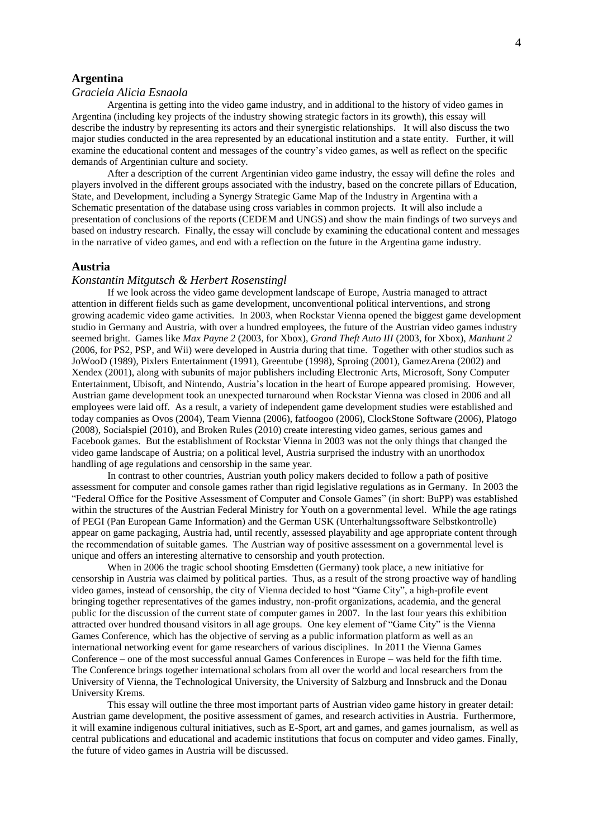# **Argentina**

## *Graciela Alicia Esnaola*

Argentina is getting into the video game industry, and in additional to the history of video games in Argentina (including key projects of the industry showing strategic factors in its growth), this essay will describe the industry by representing its actors and their synergistic relationships. It will also discuss the two major studies conducted in the area represented by an educational institution and a state entity. Further, it will examine the educational content and messages of the country's video games, as well as reflect on the specific demands of Argentinian culture and society.

After a description of the current Argentinian video game industry, the essay will define the roles and players involved in the different groups associated with the industry, based on the concrete pillars of Education, State, and Development, including a Synergy Strategic Game Map of the Industry in Argentina with a Schematic presentation of the database using cross variables in common projects. It will also include a presentation of conclusions of the reports (CEDEM and UNGS) and show the main findings of two surveys and based on industry research. Finally, the essay will conclude by examining the educational content and messages in the narrative of video games, and end with a reflection on the future in the Argentina game industry.

#### **Austria**

## *Konstantin Mitgutsch & Herbert Rosenstingl*

If we look across the video game development landscape of Europe, Austria managed to attract attention in different fields such as game development, unconventional political interventions, and strong growing academic video game activities. In 2003, when Rockstar Vienna opened the biggest game development studio in Germany and Austria, with over a hundred employees, the future of the Austrian video games industry seemed bright. Games like *Max Payne 2* (2003, for Xbox), *Grand Theft Auto III* (2003, for Xbox), *Manhunt 2* (2006, for PS2, PSP, and Wii) were developed in Austria during that time. Together with other studios such as JoWooD (1989), Pixlers Entertainment (1991), Greentube (1998), Sproing (2001), GamezArena (2002) and Xendex (2001), along with subunits of major publishers including Electronic Arts, Microsoft, Sony Computer Entertainment, Ubisoft, and Nintendo, Austria's location in the heart of Europe appeared promising. However, Austrian game development took an unexpected turnaround when Rockstar Vienna was closed in 2006 and all employees were laid off. As a result, a variety of independent game development studies were established and today companies as Ovos (2004), Team Vienna (2006), fatfoogoo (2006), ClockStone Software (2006), Platogo (2008), Socialspiel (2010), and Broken Rules (2010) create interesting video games, serious games and Facebook games. But the establishment of Rockstar Vienna in 2003 was not the only things that changed the video game landscape of Austria; on a political level, Austria surprised the industry with an unorthodox handling of age regulations and censorship in the same year.

In contrast to other countries, Austrian youth policy makers decided to follow a path of positive assessment for computer and console games rather than rigid legislative regulations as in Germany. In 2003 the "Federal Office for the Positive Assessment of Computer and Console Games" (in short: BuPP) was established within the structures of the Austrian Federal Ministry for Youth on a governmental level. While the age ratings of PEGI (Pan European Game Information) and the German USK (Unterhaltungssoftware Selbstkontrolle) appear on game packaging, Austria had, until recently, assessed playability and age appropriate content through the recommendation of suitable games. The Austrian way of positive assessment on a governmental level is unique and offers an interesting alternative to censorship and youth protection.

When in 2006 the tragic school shooting Emsdetten (Germany) took place, a new initiative for censorship in Austria was claimed by political parties. Thus, as a result of the strong proactive way of handling video games, instead of censorship, the city of Vienna decided to host "Game City", a high-profile event bringing together representatives of the games industry, non-profit organizations, academia, and the general public for the discussion of the current state of computer games in 2007. In the last four years this exhibition attracted over hundred thousand visitors in all age groups. One key element of "Game City" is the Vienna Games Conference, which has the objective of serving as a public information platform as well as an international networking event for game researchers of various disciplines. In 2011 the Vienna Games Conference – one of the most successful annual Games Conferences in Europe – was held for the fifth time. The Conference brings together international scholars from all over the world and local researchers from the University of Vienna, the Technological University, the University of Salzburg and Innsbruck and the Donau University Krems.

This essay will outline the three most important parts of Austrian video game history in greater detail: Austrian game development, the positive assessment of games, and research activities in Austria. Furthermore, it will examine indigenous cultural initiatives, such as E-Sport, art and games, and games journalism, as well as central publications and educational and academic institutions that focus on computer and video games. Finally, the future of video games in Austria will be discussed.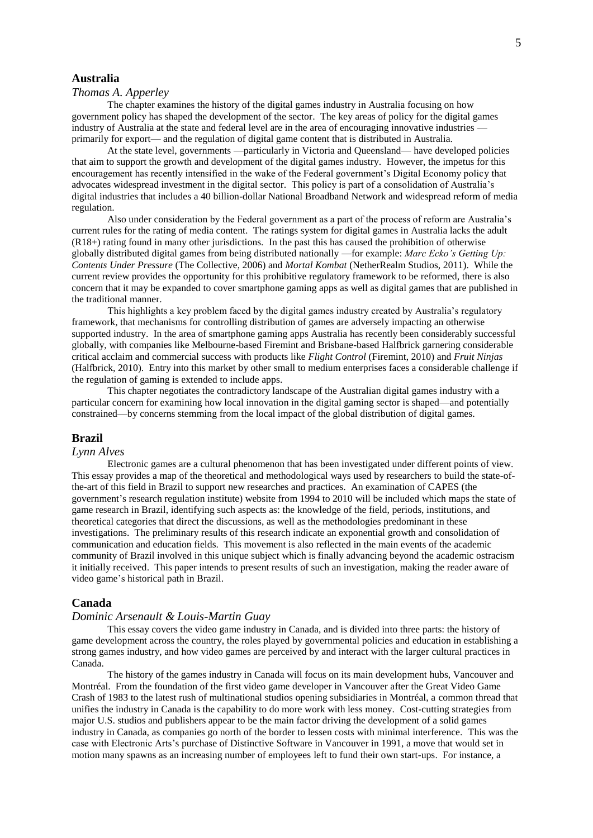# **Australia**

# *Thomas A. Apperley*

The chapter examines the history of the digital games industry in Australia focusing on how government policy has shaped the development of the sector. The key areas of policy for the digital games industry of Australia at the state and federal level are in the area of encouraging innovative industries primarily for export— and the regulation of digital game content that is distributed in Australia.

At the state level, governments —particularly in Victoria and Queensland— have developed policies that aim to support the growth and development of the digital games industry. However, the impetus for this encouragement has recently intensified in the wake of the Federal government's Digital Economy policy that advocates widespread investment in the digital sector. This policy is part of a consolidation of Australia's digital industries that includes a 40 billion-dollar National Broadband Network and widespread reform of media regulation.

Also under consideration by the Federal government as a part of the process of reform are Australia's current rules for the rating of media content. The ratings system for digital games in Australia lacks the adult (R18+) rating found in many other jurisdictions. In the past this has caused the prohibition of otherwise globally distributed digital games from being distributed nationally —for example: *Marc Ecko's Getting Up: Contents Under Pressure* (The Collective, 2006) and *Mortal Kombat* (NetherRealm Studios, 2011). While the current review provides the opportunity for this prohibitive regulatory framework to be reformed, there is also concern that it may be expanded to cover smartphone gaming apps as well as digital games that are published in the traditional manner.

This highlights a key problem faced by the digital games industry created by Australia's regulatory framework, that mechanisms for controlling distribution of games are adversely impacting an otherwise supported industry. In the area of smartphone gaming apps Australia has recently been considerably successful globally, with companies like Melbourne-based Firemint and Brisbane-based Halfbrick garnering considerable critical acclaim and commercial success with products like *Flight Control* (Firemint, 2010) and *Fruit Ninjas* (Halfbrick, 2010). Entry into this market by other small to medium enterprises faces a considerable challenge if the regulation of gaming is extended to include apps.

This chapter negotiates the contradictory landscape of the Australian digital games industry with a particular concern for examining how local innovation in the digital gaming sector is shaped—and potentially constrained—by concerns stemming from the local impact of the global distribution of digital games.

#### **Brazil**

## *Lynn Alves*

Electronic games are a cultural phenomenon that has been investigated under different points of view. This essay provides a map of the theoretical and methodological ways used by researchers to build the state-ofthe-art of this field in Brazil to support new researches and practices. An examination of CAPES (the government's research regulation institute) website from 1994 to 2010 will be included which maps the state of game research in Brazil, identifying such aspects as: the knowledge of the field, periods, institutions, and theoretical categories that direct the discussions, as well as the methodologies predominant in these investigations. The preliminary results of this research indicate an exponential growth and consolidation of communication and education fields. This movement is also reflected in the main events of the academic community of Brazil involved in this unique subject which is finally advancing beyond the academic ostracism it initially received. This paper intends to present results of such an investigation, making the reader aware of video game's historical path in Brazil.

#### **Canada**

#### *Dominic Arsenault & Louis-Martin Guay*

This essay covers the video game industry in Canada, and is divided into three parts: the history of game development across the country, the roles played by governmental policies and education in establishing a strong games industry, and how video games are perceived by and interact with the larger cultural practices in Canada.

The history of the games industry in Canada will focus on its main development hubs, Vancouver and Montréal. From the foundation of the first video game developer in Vancouver after the Great Video Game Crash of 1983 to the latest rush of multinational studios opening subsidiaries in Montréal, a common thread that unifies the industry in Canada is the capability to do more work with less money. Cost-cutting strategies from major U.S. studios and publishers appear to be the main factor driving the development of a solid games industry in Canada, as companies go north of the border to lessen costs with minimal interference. This was the case with Electronic Arts's purchase of Distinctive Software in Vancouver in 1991, a move that would set in motion many spawns as an increasing number of employees left to fund their own start-ups. For instance, a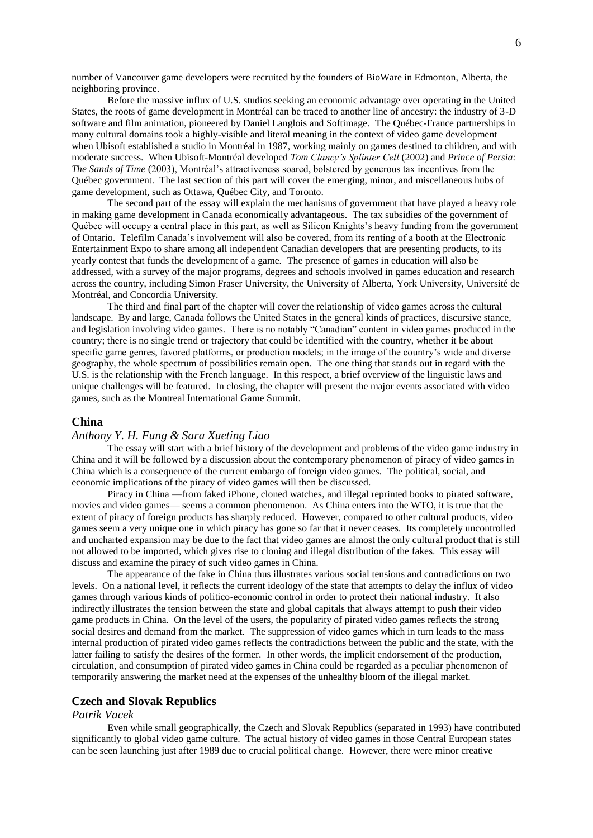number of Vancouver game developers were recruited by the founders of BioWare in Edmonton, Alberta, the neighboring province.

Before the massive influx of U.S. studios seeking an economic advantage over operating in the United States, the roots of game development in Montréal can be traced to another line of ancestry: the industry of 3-D software and film animation, pioneered by Daniel Langlois and Softimage. The Québec-France partnerships in many cultural domains took a highly-visible and literal meaning in the context of video game development when Ubisoft established a studio in Montréal in 1987, working mainly on games destined to children, and with moderate success. When Ubisoft-Montréal developed *Tom Clancy's Splinter Cell* (2002) and *Prince of Persia: The Sands of Time* (2003), Montréal's attractiveness soared, bolstered by generous tax incentives from the Québec government. The last section of this part will cover the emerging, minor, and miscellaneous hubs of game development, such as Ottawa, Québec City, and Toronto.

The second part of the essay will explain the mechanisms of government that have played a heavy role in making game development in Canada economically advantageous. The tax subsidies of the government of Québec will occupy a central place in this part, as well as Silicon Knights's heavy funding from the government of Ontario. Telefilm Canada's involvement will also be covered, from its renting of a booth at the Electronic Entertainment Expo to share among all independent Canadian developers that are presenting products, to its yearly contest that funds the development of a game. The presence of games in education will also be addressed, with a survey of the major programs, degrees and schools involved in games education and research across the country, including Simon Fraser University, the University of Alberta, York University, Université de Montréal, and Concordia University.

The third and final part of the chapter will cover the relationship of video games across the cultural landscape. By and large, Canada follows the United States in the general kinds of practices, discursive stance, and legislation involving video games. There is no notably "Canadian" content in video games produced in the country; there is no single trend or trajectory that could be identified with the country, whether it be about specific game genres, favored platforms, or production models; in the image of the country's wide and diverse geography, the whole spectrum of possibilities remain open. The one thing that stands out in regard with the U.S. is the relationship with the French language. In this respect, a brief overview of the linguistic laws and unique challenges will be featured. In closing, the chapter will present the major events associated with video games, such as the Montreal International Game Summit.

#### **China**

#### *Anthony Y. H. Fung & Sara Xueting Liao*

The essay will start with a brief history of the development and problems of the video game industry in China and it will be followed by a discussion about the contemporary phenomenon of piracy of video games in China which is a consequence of the current embargo of foreign video games. The political, social, and economic implications of the piracy of video games will then be discussed.

Piracy in China —from faked iPhone, cloned watches, and illegal reprinted books to pirated software, movies and video games— seems a common phenomenon. As China enters into the WTO, it is true that the extent of piracy of foreign products has sharply reduced. However, compared to other cultural products, video games seem a very unique one in which piracy has gone so far that it never ceases. Its completely uncontrolled and uncharted expansion may be due to the fact that video games are almost the only cultural product that is still not allowed to be imported, which gives rise to cloning and illegal distribution of the fakes. This essay will discuss and examine the piracy of such video games in China.

The appearance of the fake in China thus illustrates various social tensions and contradictions on two levels. On a national level, it reflects the current ideology of the state that attempts to delay the influx of video games through various kinds of politico-economic control in order to protect their national industry. It also indirectly illustrates the tension between the state and global capitals that always attempt to push their video game products in China. On the level of the users, the popularity of pirated video games reflects the strong social desires and demand from the market. The suppression of video games which in turn leads to the mass internal production of pirated video games reflects the contradictions between the public and the state, with the latter failing to satisfy the desires of the former. In other words, the implicit endorsement of the production, circulation, and consumption of pirated video games in China could be regarded as a peculiar phenomenon of temporarily answering the market need at the expenses of the unhealthy bloom of the illegal market.

## **Czech and Slovak Republics**

## *Patrik Vacek*

Even while small geographically, the Czech and Slovak Republics (separated in 1993) have contributed significantly to global video game culture. The actual history of video games in those Central European states can be seen launching just after 1989 due to crucial political change. However, there were minor creative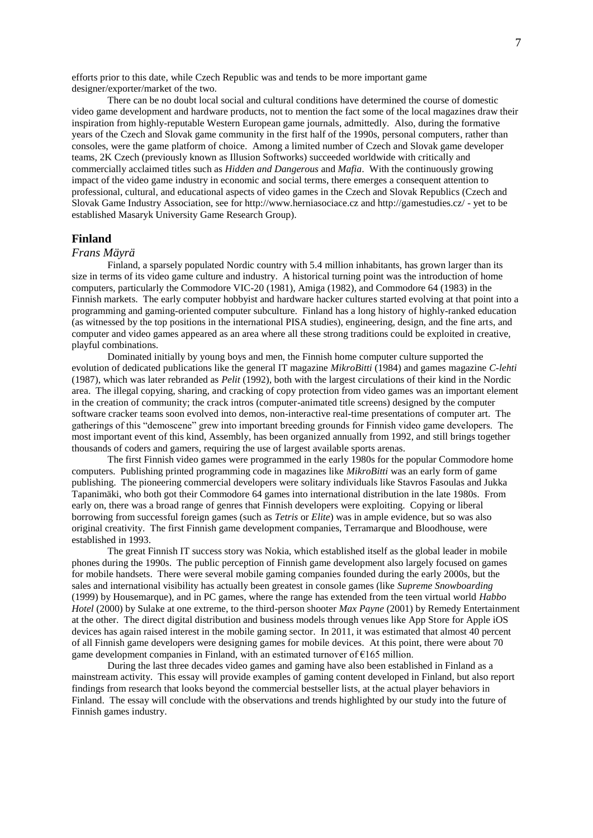efforts prior to this date, while Czech Republic was and tends to be more important game designer/exporter/market of the two.

There can be no doubt local social and cultural conditions have determined the course of domestic video game development and hardware products, not to mention the fact some of the local magazines draw their inspiration from highly-reputable Western European game journals, admittedly. Also, during the formative years of the Czech and Slovak game community in the first half of the 1990s, personal computers, rather than consoles, were the game platform of choice. Among a limited number of Czech and Slovak game developer teams, 2K Czech (previously known as Illusion Softworks) succeeded worldwide with critically and commercially acclaimed titles such as *Hidden and Dangerous* and *Mafia*. With the continuously growing impact of the video game industry in economic and social terms, there emerges a consequent attention to professional, cultural, and educational aspects of video games in the Czech and Slovak Republics (Czech and Slovak Game Industry Association, see for http://www.herniasociace.cz and http://gamestudies.cz/ - yet to be established Masaryk University Game Research Group).

#### **Finland**

#### *Frans Mäyrä*

Finland, a sparsely populated Nordic country with 5.4 million inhabitants, has grown larger than its size in terms of its video game culture and industry. A historical turning point was the introduction of home computers, particularly the Commodore VIC-20 (1981), Amiga (1982), and Commodore 64 (1983) in the Finnish markets. The early computer hobbyist and hardware hacker cultures started evolving at that point into a programming and gaming-oriented computer subculture. Finland has a long history of highly-ranked education (as witnessed by the top positions in the international PISA studies), engineering, design, and the fine arts, and computer and video games appeared as an area where all these strong traditions could be exploited in creative, playful combinations.

Dominated initially by young boys and men, the Finnish home computer culture supported the evolution of dedicated publications like the general IT magazine *MikroBitti* (1984) and games magazine *C-lehti* (1987), which was later rebranded as *Pelit* (1992), both with the largest circulations of their kind in the Nordic area. The illegal copying, sharing, and cracking of copy protection from video games was an important element in the creation of community; the crack intros (computer-animated title screens) designed by the computer software cracker teams soon evolved into demos, non-interactive real-time presentations of computer art. The gatherings of this "demoscene" grew into important breeding grounds for Finnish video game developers. The most important event of this kind, Assembly, has been organized annually from 1992, and still brings together thousands of coders and gamers, requiring the use of largest available sports arenas.

The first Finnish video games were programmed in the early 1980s for the popular Commodore home computers. Publishing printed programming code in magazines like *MikroBitti* was an early form of game publishing. The pioneering commercial developers were solitary individuals like Stavros Fasoulas and Jukka Tapanimäki, who both got their Commodore 64 games into international distribution in the late 1980s. From early on, there was a broad range of genres that Finnish developers were exploiting. Copying or liberal borrowing from successful foreign games (such as *Tetris* or *Elite*) was in ample evidence, but so was also original creativity. The first Finnish game development companies, Terramarque and Bloodhouse, were established in 1993.

The great Finnish IT success story was Nokia, which established itself as the global leader in mobile phones during the 1990s. The public perception of Finnish game development also largely focused on games for mobile handsets. There were several mobile gaming companies founded during the early 2000s, but the sales and international visibility has actually been greatest in console games (like *Supreme Snowboarding* (1999) by Housemarque), and in PC games, where the range has extended from the teen virtual world *Habbo Hotel* (2000) by Sulake at one extreme, to the third-person shooter *Max Payne* (2001) by Remedy Entertainment at the other. The direct digital distribution and business models through venues like App Store for Apple iOS devices has again raised interest in the mobile gaming sector. In 2011, it was estimated that almost 40 percent of all Finnish game developers were designing games for mobile devices. At this point, there were about 70 game development companies in Finland, with an estimated turnover of  $\epsilon$ 165 million.

During the last three decades video games and gaming have also been established in Finland as a mainstream activity. This essay will provide examples of gaming content developed in Finland, but also report findings from research that looks beyond the commercial bestseller lists, at the actual player behaviors in Finland. The essay will conclude with the observations and trends highlighted by our study into the future of Finnish games industry.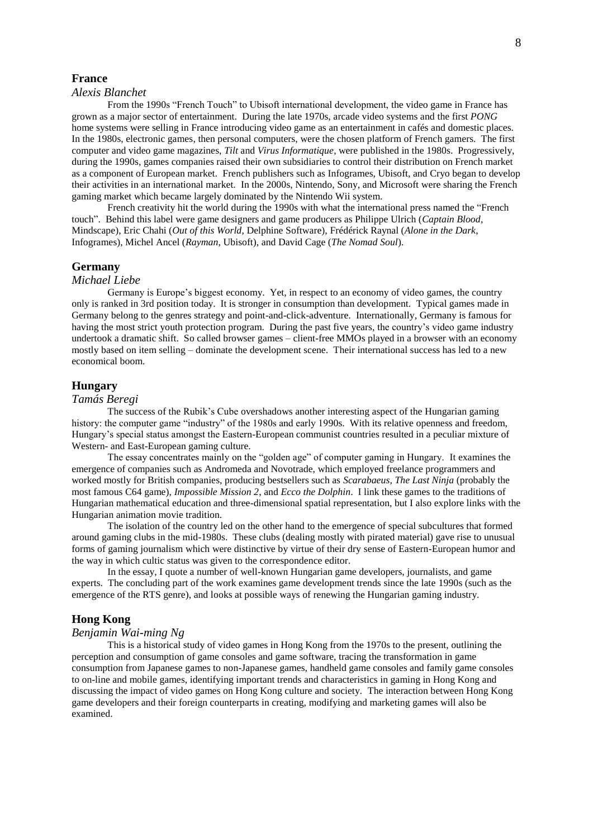## **France**

#### *Alexis Blanchet*

From the 1990s "French Touch" to Ubisoft international development, the video game in France has grown as a major sector of entertainment. During the late 1970s, arcade video systems and the first *PONG* home systems were selling in France introducing video game as an entertainment in cafés and domestic places. In the 1980s, electronic games, then personal computers, were the chosen platform of French gamers. The first computer and video game magazines, *Tilt* and *Virus Informatique*, were published in the 1980s. Progressively, during the 1990s, games companies raised their own subsidiaries to control their distribution on French market as a component of European market. French publishers such as Infogrames, Ubisoft, and Cryo began to develop their activities in an international market. In the 2000s, Nintendo, Sony, and Microsoft were sharing the French gaming market which became largely dominated by the Nintendo Wii system.

French creativity hit the world during the 1990s with what the international press named the "French touch". Behind this label were game designers and game producers as Philippe Ulrich (*Captain Blood*, Mindscape), Eric Chahi (*Out of this World*, Delphine Software), Frédérick Raynal (*Alone in the Dark*, Infogrames), Michel Ancel (*Rayman*, Ubisoft), and David Cage (*The Nomad Soul*).

## **Germany**

#### *Michael Liebe*

Germany is Europe's biggest economy. Yet, in respect to an economy of video games, the country only is ranked in 3rd position today. It is stronger in consumption than development. Typical games made in Germany belong to the genres strategy and point-and-click-adventure. Internationally, Germany is famous for having the most strict youth protection program. During the past five years, the country's video game industry undertook a dramatic shift. So called browser games – client-free MMOs played in a browser with an economy mostly based on item selling – dominate the development scene. Their international success has led to a new economical boom.

## **Hungary**

## *Tamás Beregi*

The success of the Rubik's Cube overshadows another interesting aspect of the Hungarian gaming history: the computer game "industry" of the 1980s and early 1990s. With its relative openness and freedom, Hungary's special status amongst the Eastern-European communist countries resulted in a peculiar mixture of Western- and East-European gaming culture.

The essay concentrates mainly on the "golden age" of computer gaming in Hungary. It examines the emergence of companies such as Andromeda and Novotrade, which employed freelance programmers and worked mostly for British companies, producing bestsellers such as *Scarabaeus*, *The Last Ninja* (probably the most famous C64 game), *Impossible Mission 2*, and *Ecco the Dolphin*. I link these games to the traditions of Hungarian mathematical education and three-dimensional spatial representation, but I also explore links with the Hungarian animation movie tradition.

The isolation of the country led on the other hand to the emergence of special subcultures that formed around gaming clubs in the mid-1980s. These clubs (dealing mostly with pirated material) gave rise to unusual forms of gaming journalism which were distinctive by virtue of their dry sense of Eastern-European humor and the way in which cultic status was given to the correspondence editor.

In the essay, I quote a number of well-known Hungarian game developers, journalists, and game experts. The concluding part of the work examines game development trends since the late 1990s (such as the emergence of the RTS genre), and looks at possible ways of renewing the Hungarian gaming industry.

#### **Hong Kong**

## *Benjamin Wai-ming Ng*

This is a historical study of video games in Hong Kong from the 1970s to the present, outlining the perception and consumption of game consoles and game software, tracing the transformation in game consumption from Japanese games to non-Japanese games, handheld game consoles and family game consoles to on-line and mobile games, identifying important trends and characteristics in gaming in Hong Kong and discussing the impact of video games on Hong Kong culture and society. The interaction between Hong Kong game developers and their foreign counterparts in creating, modifying and marketing games will also be examined.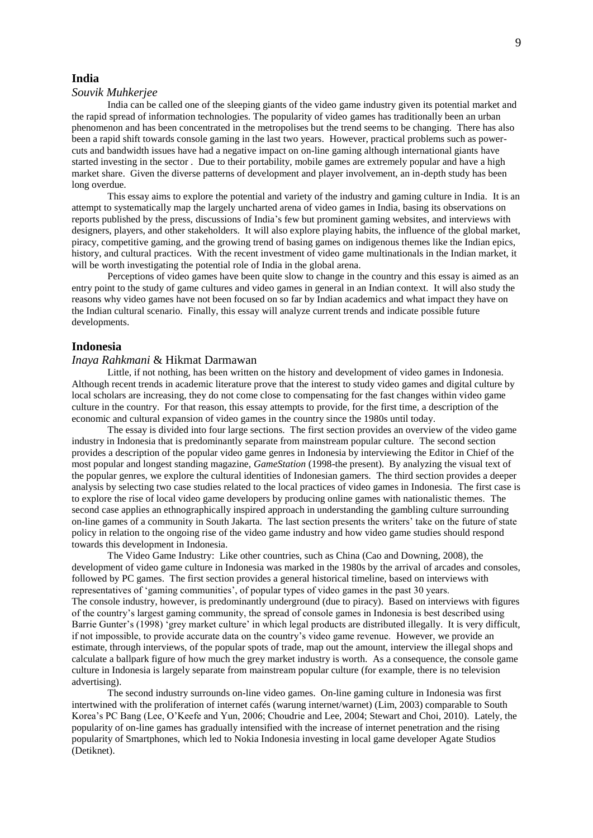#### **India**

#### *Souvik Muhkerjee*

India can be called one of the sleeping giants of the video game industry given its potential market and the rapid spread of information technologies. The popularity of video games has traditionally been an urban phenomenon and has been concentrated in the metropolises but the trend seems to be changing. There has also been a rapid shift towards console gaming in the last two years. However, practical problems such as powercuts and bandwidth issues have had a negative impact on on-line gaming although international giants have started investing in the sector . Due to their portability, mobile games are extremely popular and have a high market share. Given the diverse patterns of development and player involvement, an in-depth study has been long overdue.

This essay aims to explore the potential and variety of the industry and gaming culture in India. It is an attempt to systematically map the largely uncharted arena of video games in India, basing its observations on reports published by the press, discussions of India's few but prominent gaming websites, and interviews with designers, players, and other stakeholders. It will also explore playing habits, the influence of the global market, piracy, competitive gaming, and the growing trend of basing games on indigenous themes like the Indian epics, history, and cultural practices. With the recent investment of video game multinationals in the Indian market, it will be worth investigating the potential role of India in the global arena.

Perceptions of video games have been quite slow to change in the country and this essay is aimed as an entry point to the study of game cultures and video games in general in an Indian context. It will also study the reasons why video games have not been focused on so far by Indian academics and what impact they have on the Indian cultural scenario. Finally, this essay will analyze current trends and indicate possible future developments.

## **Indonesia**

#### *Inaya Rahkmani* & Hikmat Darmawan

Little, if not nothing, has been written on the history and development of video games in Indonesia. Although recent trends in academic literature prove that the interest to study video games and digital culture by local scholars are increasing, they do not come close to compensating for the fast changes within video game culture in the country. For that reason, this essay attempts to provide, for the first time, a description of the economic and cultural expansion of video games in the country since the 1980s until today.

The essay is divided into four large sections. The first section provides an overview of the video game industry in Indonesia that is predominantly separate from mainstream popular culture. The second section provides a description of the popular video game genres in Indonesia by interviewing the Editor in Chief of the most popular and longest standing magazine, *GameStation* (1998-the present). By analyzing the visual text of the popular genres, we explore the cultural identities of Indonesian gamers. The third section provides a deeper analysis by selecting two case studies related to the local practices of video games in Indonesia. The first case is to explore the rise of local video game developers by producing online games with nationalistic themes. The second case applies an ethnographically inspired approach in understanding the gambling culture surrounding on-line games of a community in South Jakarta. The last section presents the writers' take on the future of state policy in relation to the ongoing rise of the video game industry and how video game studies should respond towards this development in Indonesia.

The Video Game Industry: Like other countries, such as China (Cao and Downing, 2008), the development of video game culture in Indonesia was marked in the 1980s by the arrival of arcades and consoles, followed by PC games. The first section provides a general historical timeline, based on interviews with representatives of 'gaming communities', of popular types of video games in the past 30 years. The console industry, however, is predominantly underground (due to piracy). Based on interviews with figures of the country's largest gaming community, the spread of console games in Indonesia is best described using Barrie Gunter's (1998) 'grey market culture' in which legal products are distributed illegally. It is very difficult, if not impossible, to provide accurate data on the country's video game revenue. However, we provide an estimate, through interviews, of the popular spots of trade, map out the amount, interview the illegal shops and calculate a ballpark figure of how much the grey market industry is worth. As a consequence, the console game culture in Indonesia is largely separate from mainstream popular culture (for example, there is no television advertising).

The second industry surrounds on-line video games. On-line gaming culture in Indonesia was first intertwined with the proliferation of internet cafés (warung internet/warnet) (Lim, 2003) comparable to South Korea's PC Bang (Lee, O'Keefe and Yun, 2006; Choudrie and Lee, 2004; Stewart and Choi, 2010). Lately, the popularity of on-line games has gradually intensified with the increase of internet penetration and the rising popularity of Smartphones, which led to Nokia Indonesia investing in local game developer Agate Studios (Detiknet).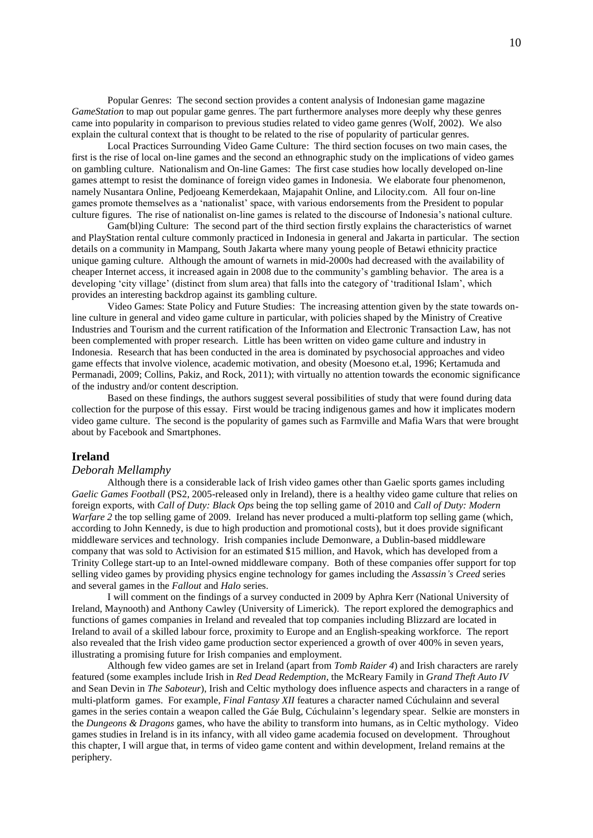Popular Genres: The second section provides a content analysis of Indonesian game magazine *GameStation* to map out popular game genres. The part furthermore analyses more deeply why these genres came into popularity in comparison to previous studies related to video game genres (Wolf, 2002). We also explain the cultural context that is thought to be related to the rise of popularity of particular genres.

Local Practices Surrounding Video Game Culture: The third section focuses on two main cases, the first is the rise of local on-line games and the second an ethnographic study on the implications of video games on gambling culture. Nationalism and On-line Games: The first case studies how locally developed on-line games attempt to resist the dominance of foreign video games in Indonesia. We elaborate four phenomenon, namely Nusantara Online, Pedjoeang Kemerdekaan, Majapahit Online, and Lilocity.com. All four on-line games promote themselves as a 'nationalist' space, with various endorsements from the President to popular culture figures. The rise of nationalist on-line games is related to the discourse of Indonesia's national culture.

Gam(bl)ing Culture: The second part of the third section firstly explains the characteristics of warnet and PlayStation rental culture commonly practiced in Indonesia in general and Jakarta in particular. The section details on a community in Mampang, South Jakarta where many young people of Betawi ethnicity practice unique gaming culture. Although the amount of warnets in mid-2000s had decreased with the availability of cheaper Internet access, it increased again in 2008 due to the community's gambling behavior. The area is a developing 'city village' (distinct from slum area) that falls into the category of 'traditional Islam', which provides an interesting backdrop against its gambling culture.

Video Games: State Policy and Future Studies: The increasing attention given by the state towards online culture in general and video game culture in particular, with policies shaped by the Ministry of Creative Industries and Tourism and the current ratification of the Information and Electronic Transaction Law, has not been complemented with proper research. Little has been written on video game culture and industry in Indonesia. Research that has been conducted in the area is dominated by psychosocial approaches and video game effects that involve violence, academic motivation, and obesity (Moesono et.al, 1996; Kertamuda and Permanadi, 2009; Collins, Pakiz, and Rock, 2011); with virtually no attention towards the economic significance of the industry and/or content description.

Based on these findings, the authors suggest several possibilities of study that were found during data collection for the purpose of this essay. First would be tracing indigenous games and how it implicates modern video game culture. The second is the popularity of games such as Farmville and Mafia Wars that were brought about by Facebook and Smartphones.

## **Ireland**

#### *Deborah Mellamphy*

Although there is a considerable lack of Irish video games other than Gaelic sports games including *Gaelic Games Football* (PS2, 2005-released only in Ireland), there is a healthy video game culture that relies on foreign exports, with *Call of Duty: Black Ops* being the top selling game of 2010 and *Call of Duty: Modern Warfare 2* the top selling game of 2009. Ireland has never produced a multi-platform top selling game (which, according to John Kennedy, is due to high production and promotional costs), but it does provide significant middleware services and technology. Irish companies include Demonware, a Dublin-based middleware company that was sold to Activision for an estimated \$15 million, and Havok, which has developed from a Trinity College start-up to an Intel-owned middleware company. Both of these companies offer support for top selling video games by providing physics engine technology for games including the *Assassin's Creed* series and several games in the *Fallout* and *Halo* series.

I will comment on the findings of a survey conducted in 2009 by Aphra Kerr (National University of Ireland, Maynooth) and Anthony Cawley (University of Limerick). The report explored the demographics and functions of games companies in Ireland and revealed that top companies including Blizzard are located in Ireland to avail of a skilled labour force, proximity to Europe and an English-speaking workforce. The report also revealed that the Irish video game production sector experienced a growth of over 400% in seven years, illustrating a promising future for Irish companies and employment.

Although few video games are set in Ireland (apart from *Tomb Raider 4*) and Irish characters are rarely featured (some examples include Irish in *Red Dead Redemption*, the McReary Family in *Grand Theft Auto IV* and Sean Devin in *The Saboteur*), Irish and Celtic mythology does influence aspects and characters in a range of multi-platform games. For example, *Final Fantasy XII* features a character named Cúchulainn and several games in the series contain a weapon called the Gáe Bulg, Cúchulainn's legendary spear. Selkie are monsters in the *Dungeons & Dragons* games, who have the ability to transform into humans, as in Celtic mythology. Video games studies in Ireland is in its infancy, with all video game academia focused on development. Throughout this chapter, I will argue that, in terms of video game content and within development, Ireland remains at the periphery.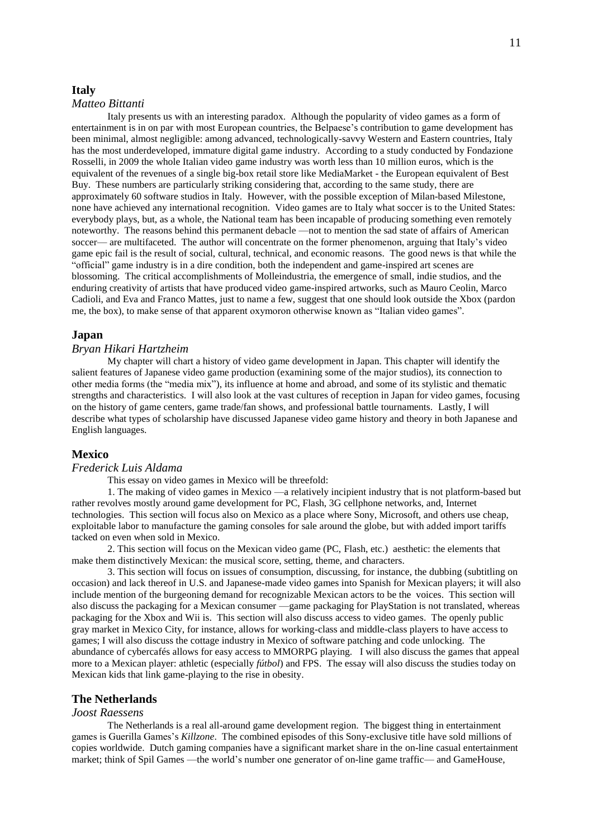## **Italy**

## *Matteo Bittanti*

Italy presents us with an interesting paradox. Although the popularity of video games as a form of entertainment is in on par with most European countries, the Belpaese's contribution to game development has been minimal, almost negligible: among advanced, technologically-savvy Western and Eastern countries, Italy has the most underdeveloped, immature digital game industry. According to a study conducted by Fondazione Rosselli, in 2009 the whole Italian video game industry was worth less than 10 million euros, which is the equivalent of the revenues of a single big-box retail store like MediaMarket - the European equivalent of Best Buy. These numbers are particularly striking considering that, according to the same study, there are approximately 60 software studios in Italy. However, with the possible exception of Milan-based Milestone, none have achieved any international recognition. Video games are to Italy what soccer is to the United States: everybody plays, but, as a whole, the National team has been incapable of producing something even remotely noteworthy. The reasons behind this permanent debacle —not to mention the sad state of affairs of American soccer— are multifaceted. The author will concentrate on the former phenomenon, arguing that Italy's video game epic fail is the result of social, cultural, technical, and economic reasons. The good news is that while the "official" game industry is in a dire condition, both the independent and game-inspired art scenes are blossoming. The critical accomplishments of Molleindustria, the emergence of small, indie studios, and the enduring creativity of artists that have produced video game-inspired artworks, such as Mauro Ceolin, Marco Cadioli, and Eva and Franco Mattes, just to name a few, suggest that one should look outside the Xbox (pardon me, the box), to make sense of that apparent oxymoron otherwise known as "Italian video games".

## **Japan**

#### *Bryan Hikari Hartzheim*

My chapter will chart a history of video game development in Japan. This chapter will identify the salient features of Japanese video game production (examining some of the major studios), its connection to other media forms (the "media mix"), its influence at home and abroad, and some of its stylistic and thematic strengths and characteristics. I will also look at the vast cultures of reception in Japan for video games, focusing on the history of game centers, game trade/fan shows, and professional battle tournaments. Lastly, I will describe what types of scholarship have discussed Japanese video game history and theory in both Japanese and English languages.

## **Mexico**

#### *Frederick Luis Aldama*

This essay on video games in Mexico will be threefold:

1. The making of video games in Mexico —a relatively incipient industry that is not platform-based but rather revolves mostly around game development for PC, Flash, 3G cellphone networks, and, Internet technologies. This section will focus also on Mexico as a place where Sony, Microsoft, and others use cheap, exploitable labor to manufacture the gaming consoles for sale around the globe, but with added import tariffs tacked on even when sold in Mexico.

2. This section will focus on the Mexican video game (PC, Flash, etc.) aesthetic: the elements that make them distinctively Mexican: the musical score, setting, theme, and characters.

3. This section will focus on issues of consumption, discussing, for instance, the dubbing (subtitling on occasion) and lack thereof in U.S. and Japanese-made video games into Spanish for Mexican players; it will also include mention of the burgeoning demand for recognizable Mexican actors to be the voices. This section will also discuss the packaging for a Mexican consumer —game packaging for PlayStation is not translated, whereas packaging for the Xbox and Wii is. This section will also discuss access to video games. The openly public gray market in Mexico City, for instance, allows for working-class and middle-class players to have access to games; I will also discuss the cottage industry in Mexico of software patching and code unlocking. The abundance of cybercafés allows for easy access to MMORPG playing. I will also discuss the games that appeal more to a Mexican player: athletic (especially *fútbol*) and FPS. The essay will also discuss the studies today on Mexican kids that link game-playing to the rise in obesity.

## **The Netherlands**

#### *Joost Raessens*

The Netherlands is a real all-around game development region. The biggest thing in entertainment games is Guerilla Games's *Killzone*. The combined episodes of this Sony-exclusive title have sold millions of copies worldwide. Dutch gaming companies have a significant market share in the on-line casual entertainment market; think of Spil Games —the world's number one generator of on-line game traffic— and GameHouse,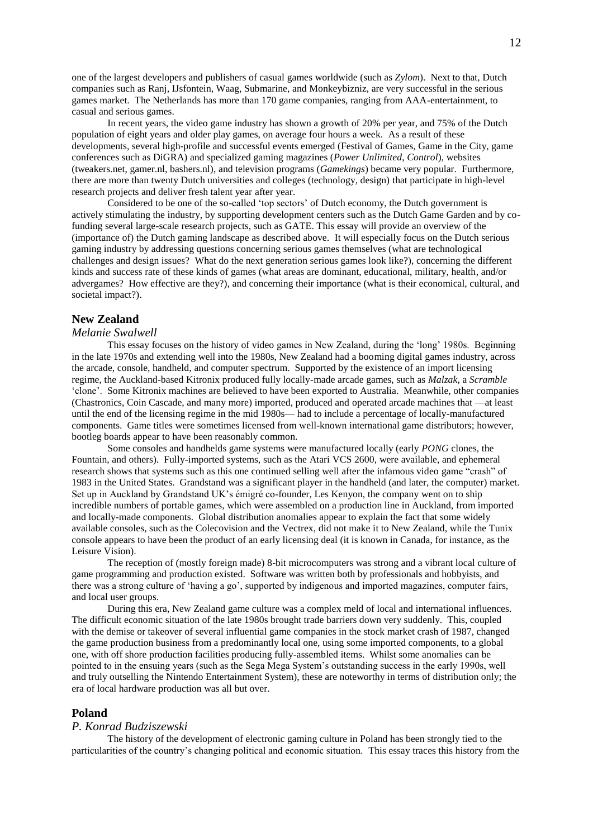one of the largest developers and publishers of casual games worldwide (such as *Zylom*). Next to that, Dutch companies such as Ranj, IJsfontein, Waag, Submarine, and Monkeybizniz, are very successful in the serious games market. The Netherlands has more than 170 game companies, ranging from AAA-entertainment, to casual and serious games.

In recent years, the video game industry has shown a growth of 20% per year, and 75% of the Dutch population of eight years and older play games, on average four hours a week. As a result of these developments, several high-profile and successful events emerged (Festival of Games, Game in the City, game conferences such as DiGRA) and specialized gaming magazines (*Power Unlimited*, *Control*), websites (tweakers.net, gamer.nl, bashers.nl), and television programs (*Gamekings*) became very popular. Furthermore, there are more than twenty Dutch universities and colleges (technology, design) that participate in high-level research projects and deliver fresh talent year after year.

Considered to be one of the so-called 'top sectors' of Dutch economy, the Dutch government is actively stimulating the industry, by supporting development centers such as the Dutch Game Garden and by cofunding several large-scale research projects, such as GATE. This essay will provide an overview of the (importance of) the Dutch gaming landscape as described above. It will especially focus on the Dutch serious gaming industry by addressing questions concerning serious games themselves (what are technological challenges and design issues? What do the next generation serious games look like?), concerning the different kinds and success rate of these kinds of games (what areas are dominant, educational, military, health, and/or advergames? How effective are they?), and concerning their importance (what is their economical, cultural, and societal impact?).

## **New Zealand**

#### *Melanie Swalwell*

This essay focuses on the history of video games in New Zealand, during the 'long' 1980s. Beginning in the late 1970s and extending well into the 1980s, New Zealand had a booming digital games industry, across the arcade, console, handheld, and computer spectrum. Supported by the existence of an import licensing regime, the Auckland-based Kitronix produced fully locally-made arcade games, such as *Malzak*, a *Scramble* 'clone'. Some Kitronix machines are believed to have been exported to Australia. Meanwhile, other companies (Chastronics, Coin Cascade, and many more) imported, produced and operated arcade machines that —at least until the end of the licensing regime in the mid 1980s— had to include a percentage of locally-manufactured components. Game titles were sometimes licensed from well-known international game distributors; however, bootleg boards appear to have been reasonably common.

Some consoles and handhelds game systems were manufactured locally (early *PONG* clones, the Fountain, and others). Fully-imported systems, such as the Atari VCS 2600, were available, and ephemeral research shows that systems such as this one continued selling well after the infamous video game "crash" of 1983 in the United States. Grandstand was a significant player in the handheld (and later, the computer) market. Set up in Auckland by Grandstand UK's émigré co-founder, Les Kenyon, the company went on to ship incredible numbers of portable games, which were assembled on a production line in Auckland, from imported and locally-made components. Global distribution anomalies appear to explain the fact that some widely available consoles, such as the Colecovision and the Vectrex, did not make it to New Zealand, while the Tunix console appears to have been the product of an early licensing deal (it is known in Canada, for instance, as the Leisure Vision).

The reception of (mostly foreign made) 8-bit microcomputers was strong and a vibrant local culture of game programming and production existed. Software was written both by professionals and hobbyists, and there was a strong culture of 'having a go', supported by indigenous and imported magazines, computer fairs, and local user groups.

During this era, New Zealand game culture was a complex meld of local and international influences. The difficult economic situation of the late 1980s brought trade barriers down very suddenly. This, coupled with the demise or takeover of several influential game companies in the stock market crash of 1987, changed the game production business from a predominantly local one, using some imported components, to a global one, with off shore production facilities producing fully-assembled items. Whilst some anomalies can be pointed to in the ensuing years (such as the Sega Mega System's outstanding success in the early 1990s, well and truly outselling the Nintendo Entertainment System), these are noteworthy in terms of distribution only; the era of local hardware production was all but over.

#### **Poland**

#### *P. Konrad Budziszewski*

The history of the development of electronic gaming culture in Poland has been strongly tied to the particularities of the country's changing political and economic situation. This essay traces this history from the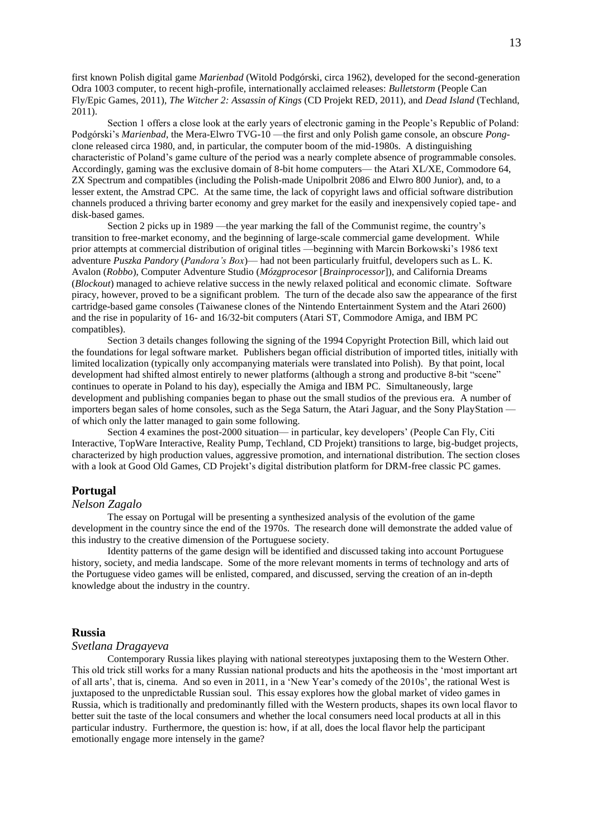first known Polish digital game *Marienbad* (Witold Podgórski, circa 1962), developed for the second-generation Odra 1003 computer, to recent high-profile, internationally acclaimed releases: *Bulletstorm* (People Can Fly/Epic Games, 2011), *The Witcher 2: Assassin of Kings* (CD Projekt RED, 2011), and *Dead Island* (Techland, 2011).

Section 1 offers a close look at the early years of electronic gaming in the People's Republic of Poland: Podgórski's *Marienbad*, the Mera-Elwro TVG-10 —the first and only Polish game console, an obscure *Pong*clone released circa 1980, and, in particular, the computer boom of the mid-1980s. A distinguishing characteristic of Poland's game culture of the period was a nearly complete absence of programmable consoles. Accordingly, gaming was the exclusive domain of 8-bit home computers— the Atari XL/XE, Commodore 64, ZX Spectrum and compatibles (including the Polish-made Unipolbrit 2086 and Elwro 800 Junior), and, to a lesser extent, the Amstrad CPC. At the same time, the lack of copyright laws and official software distribution channels produced a thriving barter economy and grey market for the easily and inexpensively copied tape- and disk-based games.

Section 2 picks up in 1989 —the year marking the fall of the Communist regime, the country's transition to free-market economy, and the beginning of large-scale commercial game development. While prior attempts at commercial distribution of original titles —beginning with Marcin Borkowski's 1986 text adventure *Puszka Pandory* (*Pandora's Box*)— had not been particularly fruitful, developers such as L. K. Avalon (*Robbo*), Computer Adventure Studio (*Mózgprocesor* [*Brainprocessor*]), and California Dreams (*Blockout*) managed to achieve relative success in the newly relaxed political and economic climate. Software piracy, however, proved to be a significant problem. The turn of the decade also saw the appearance of the first cartridge-based game consoles (Taiwanese clones of the Nintendo Entertainment System and the Atari 2600) and the rise in popularity of 16- and 16/32-bit computers (Atari ST, Commodore Amiga, and IBM PC compatibles).

Section 3 details changes following the signing of the 1994 Copyright Protection Bill, which laid out the foundations for legal software market. Publishers began official distribution of imported titles, initially with limited localization (typically only accompanying materials were translated into Polish). By that point, local development had shifted almost entirely to newer platforms (although a strong and productive 8-bit "scene" continues to operate in Poland to his day), especially the Amiga and IBM PC. Simultaneously, large development and publishing companies began to phase out the small studios of the previous era. A number of importers began sales of home consoles, such as the Sega Saturn, the Atari Jaguar, and the Sony PlayStation of which only the latter managed to gain some following.

Section 4 examines the post-2000 situation— in particular, key developers' (People Can Fly, Citi Interactive, TopWare Interactive, Reality Pump, Techland, CD Projekt) transitions to large, big-budget projects, characterized by high production values, aggressive promotion, and international distribution. The section closes with a look at Good Old Games, CD Projekt's digital distribution platform for DRM-free classic PC games.

### **Portugal**

# *Nelson Zagalo*

The essay on Portugal will be presenting a synthesized analysis of the evolution of the game development in the country since the end of the 1970s. The research done will demonstrate the added value of this industry to the creative dimension of the Portuguese society.

Identity patterns of the game design will be identified and discussed taking into account Portuguese history, society, and media landscape. Some of the more relevant moments in terms of technology and arts of the Portuguese video games will be enlisted, compared, and discussed, serving the creation of an in-depth knowledge about the industry in the country.

## **Russia**

#### *Svetlana Dragayeva*

Contemporary Russia likes playing with national stereotypes juxtaposing them to the Western Other. This old trick still works for a many Russian national products and hits the apotheosis in the 'most important art of all arts', that is, cinema. And so even in 2011, in a 'New Year's comedy of the 2010s', the rational West is juxtaposed to the unpredictable Russian soul. This essay explores how the global market of video games in Russia, which is traditionally and predominantly filled with the Western products, shapes its own local flavor to better suit the taste of the local consumers and whether the local consumers need local products at all in this particular industry. Furthermore, the question is: how, if at all, does the local flavor help the participant emotionally engage more intensely in the game?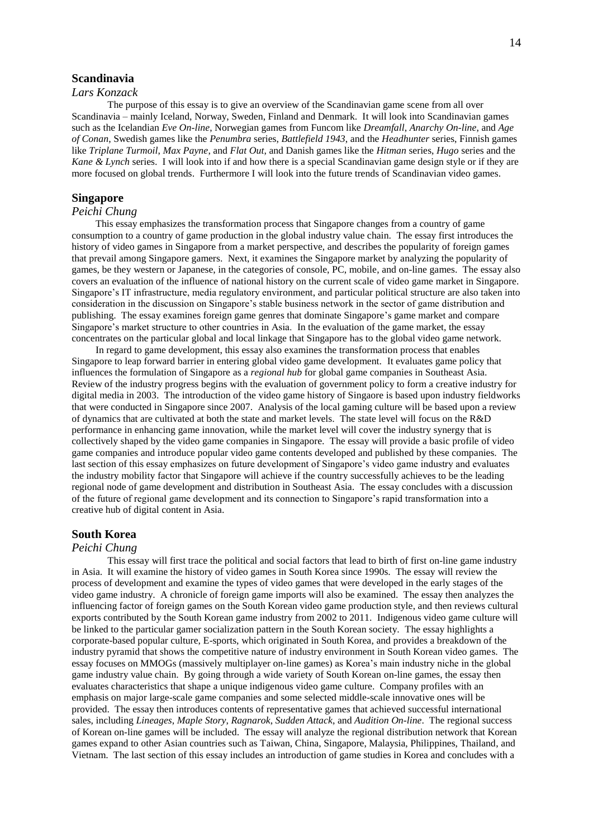# **Scandinavia**

## *Lars Konzack*

The purpose of this essay is to give an overview of the Scandinavian game scene from all over Scandinavia – mainly Iceland, Norway, Sweden, Finland and Denmark. It will look into Scandinavian games such as the Icelandian *Eve On-line*, Norwegian games from Funcom like *Dreamfall*, *Anarchy On-line*, and *Age of Conan*, Swedish games like the *Penumbra* series, *Battlefield 1943*, and the *Headhunter* series, Finnish games like *Triplane Turmoil*, *Max Payne*, and *Flat Out*, and Danish games like the *Hitman* series, *Hugo* series and the *Kane & Lynch* series. I will look into if and how there is a special Scandinavian game design style or if they are more focused on global trends. Furthermore I will look into the future trends of Scandinavian video games.

## **Singapore**

## *Peichi Chung*

This essay emphasizes the transformation process that Singapore changes from a country of game consumption to a country of game production in the global industry value chain. The essay first introduces the history of video games in Singapore from a market perspective, and describes the popularity of foreign games that prevail among Singapore gamers. Next, it examines the Singapore market by analyzing the popularity of games, be they western or Japanese, in the categories of console, PC, mobile, and on-line games. The essay also covers an evaluation of the influence of national history on the current scale of video game market in Singapore. Singapore's IT infrastructure, media regulatory environment, and particular political structure are also taken into consideration in the discussion on Singapore's stable business network in the sector of game distribution and publishing. The essay examines foreign game genres that dominate Singapore's game market and compare Singapore's market structure to other countries in Asia. In the evaluation of the game market, the essay concentrates on the particular global and local linkage that Singapore has to the global video game network.

In regard to game development, this essay also examines the transformation process that enables Singapore to leap forward barrier in entering global video game development. It evaluates game policy that influences the formulation of Singapore as a *regional hub* for global game companies in Southeast Asia. Review of the industry progress begins with the evaluation of government policy to form a creative industry for digital media in 2003. The introduction of the video game history of Singaore is based upon industry fieldworks that were conducted in Singapore since 2007. Analysis of the local gaming culture will be based upon a review of dynamics that are cultivated at both the state and market levels. The state level will focus on the R&D performance in enhancing game innovation, while the market level will cover the industry synergy that is collectively shaped by the video game companies in Singapore. The essay will provide a basic profile of video game companies and introduce popular video game contents developed and published by these companies. The last section of this essay emphasizes on future development of Singapore's video game industry and evaluates the industry mobility factor that Singapore will achieve if the country successfully achieves to be the leading regional node of game development and distribution in Southeast Asia. The essay concludes with a discussion of the future of regional game development and its connection to Singapore's rapid transformation into a creative hub of digital content in Asia.

## **South Korea**

#### *Peichi Chung*

This essay will first trace the political and social factors that lead to birth of first on-line game industry in Asia. It will examine the history of video games in South Korea since 1990s. The essay will review the process of development and examine the types of video games that were developed in the early stages of the video game industry. A chronicle of foreign game imports will also be examined. The essay then analyzes the influencing factor of foreign games on the South Korean video game production style, and then reviews cultural exports contributed by the South Korean game industry from 2002 to 2011. Indigenous video game culture will be linked to the particular gamer socialization pattern in the South Korean society. The essay highlights a corporate-based popular culture, E-sports, which originated in South Korea, and provides a breakdown of the industry pyramid that shows the competitive nature of industry environment in South Korean video games. The essay focuses on MMOGs (massively multiplayer on-line games) as Korea's main industry niche in the global game industry value chain. By going through a wide variety of South Korean on-line games, the essay then evaluates characteristics that shape a unique indigenous video game culture. Company profiles with an emphasis on major large-scale game companies and some selected middle-scale innovative ones will be provided. The essay then introduces contents of representative games that achieved successful international sales, including *Lineages*, *Maple Story*, *Ragnarok*, *Sudden Attack*, and *Audition On-line*. The regional success of Korean on-line games will be included. The essay will analyze the regional distribution network that Korean games expand to other Asian countries such as Taiwan, China, Singapore, Malaysia, Philippines, Thailand, and Vietnam. The last section of this essay includes an introduction of game studies in Korea and concludes with a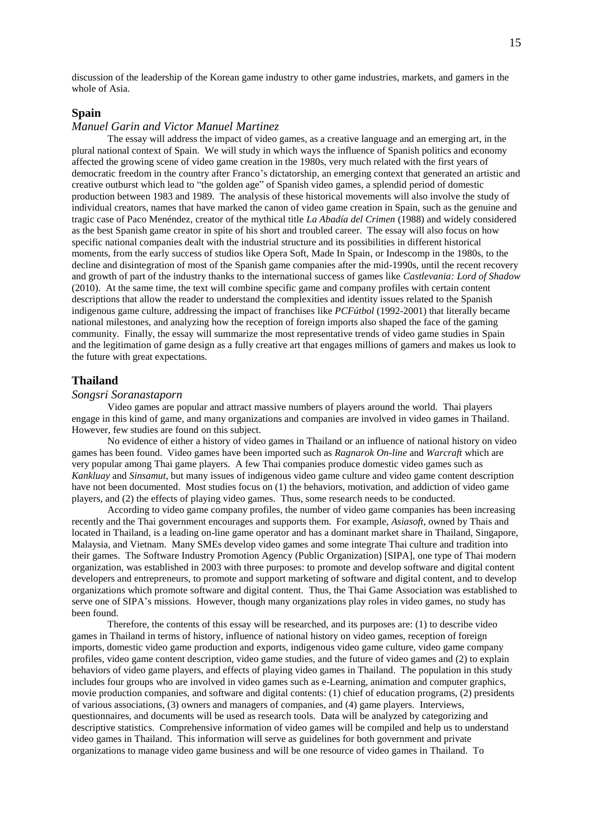discussion of the leadership of the Korean game industry to other game industries, markets, and gamers in the whole of Asia.

#### **Spain**

## *Manuel Garin and Victor Manuel Martinez*

The essay will address the impact of video games, as a creative language and an emerging art, in the plural national context of Spain. We will study in which ways the influence of Spanish politics and economy affected the growing scene of video game creation in the 1980s, very much related with the first years of democratic freedom in the country after Franco's dictatorship, an emerging context that generated an artistic and creative outburst which lead to "the golden age" of Spanish video games, a splendid period of domestic production between 1983 and 1989. The analysis of these historical movements will also involve the study of individual creators, names that have marked the canon of video game creation in Spain, such as the genuine and tragic case of Paco Menéndez, creator of the mythical title *La Abadía del Crimen* (1988) and widely considered as the best Spanish game creator in spite of his short and troubled career. The essay will also focus on how specific national companies dealt with the industrial structure and its possibilities in different historical moments, from the early success of studios like Opera Soft, Made In Spain, or Indescomp in the 1980s, to the decline and disintegration of most of the Spanish game companies after the mid-1990s, until the recent recovery and growth of part of the industry thanks to the international success of games like *Castlevania: Lord of Shadow* (2010). At the same time, the text will combine specific game and company profiles with certain content descriptions that allow the reader to understand the complexities and identity issues related to the Spanish indigenous game culture, addressing the impact of franchises like *PCFútbol* (1992-2001) that literally became national milestones, and analyzing how the reception of foreign imports also shaped the face of the gaming community. Finally, the essay will summarize the most representative trends of video game studies in Spain and the legitimation of game design as a fully creative art that engages millions of gamers and makes us look to the future with great expectations.

#### **Thailand**

#### *Songsri Soranastaporn*

Video games are popular and attract massive numbers of players around the world. Thai players engage in this kind of game, and many organizations and companies are involved in video games in Thailand. However, few studies are found on this subject.

No evidence of either a history of video games in Thailand or an influence of national history on video games has been found. Video games have been imported such as *Ragnarok On-line* and *Warcraft* which are very popular among Thai game players. A few Thai companies produce domestic video games such as *Kankluay* and *Sinsamut*, but many issues of indigenous video game culture and video game content description have not been documented. Most studies focus on (1) the behaviors, motivation, and addiction of video game players, and (2) the effects of playing video games. Thus, some research needs to be conducted.

According to video game company profiles, the number of video game companies has been increasing recently and the Thai government encourages and supports them. For example, *Asiasoft*, owned by Thais and located in Thailand, is a leading on-line game operator and has a dominant market share in Thailand, Singapore, Malaysia, and Vietnam. Many SMEs develop video games and some integrate Thai culture and tradition into their games. The Software Industry Promotion Agency (Public Organization) [SIPA], one type of Thai modern organization, was established in 2003 with three purposes: to promote and develop software and digital content developers and entrepreneurs, to promote and support marketing of software and digital content, and to develop organizations which promote software and digital content. Thus, the Thai Game Association was established to serve one of SIPA's missions. However, though many organizations play roles in video games, no study has been found.

Therefore, the contents of this essay will be researched, and its purposes are: (1) to describe video games in Thailand in terms of history, influence of national history on video games, reception of foreign imports, domestic video game production and exports, indigenous video game culture, video game company profiles, video game content description, video game studies, and the future of video games and (2) to explain behaviors of video game players, and effects of playing video games in Thailand. The population in this study includes four groups who are involved in video games such as e-Learning, animation and computer graphics, movie production companies, and software and digital contents: (1) chief of education programs, (2) presidents of various associations, (3) owners and managers of companies, and (4) game players. Interviews, questionnaires, and documents will be used as research tools. Data will be analyzed by categorizing and descriptive statistics. Comprehensive information of video games will be compiled and help us to understand video games in Thailand. This information will serve as guidelines for both government and private organizations to manage video game business and will be one resource of video games in Thailand. To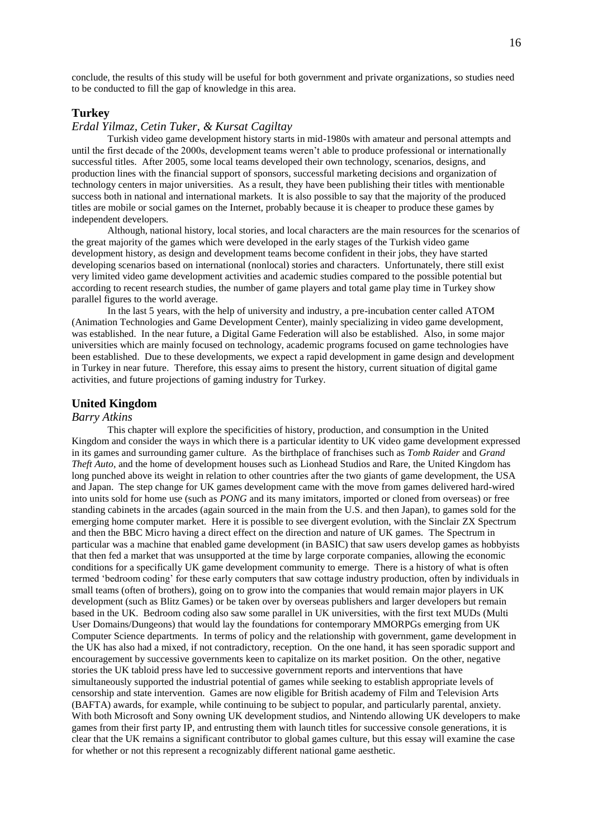conclude, the results of this study will be useful for both government and private organizations, so studies need to be conducted to fill the gap of knowledge in this area.

## **Turkey**

## *Erdal Yilmaz, Cetin Tuker, & Kursat Cagiltay*

Turkish video game development history starts in mid-1980s with amateur and personal attempts and until the first decade of the 2000s, development teams weren't able to produce professional or internationally successful titles. After 2005, some local teams developed their own technology, scenarios, designs, and production lines with the financial support of sponsors, successful marketing decisions and organization of technology centers in major universities. As a result, they have been publishing their titles with mentionable success both in national and international markets. It is also possible to say that the majority of the produced titles are mobile or social games on the Internet, probably because it is cheaper to produce these games by independent developers.

Although, national history, local stories, and local characters are the main resources for the scenarios of the great majority of the games which were developed in the early stages of the Turkish video game development history, as design and development teams become confident in their jobs, they have started developing scenarios based on international (nonlocal) stories and characters. Unfortunately, there still exist very limited video game development activities and academic studies compared to the possible potential but according to recent research studies, the number of game players and total game play time in Turkey show parallel figures to the world average.

In the last 5 years, with the help of university and industry, a pre-incubation center called ATOM (Animation Technologies and Game Development Center), mainly specializing in video game development, was established. In the near future, a Digital Game Federation will also be established. Also, in some major universities which are mainly focused on technology, academic programs focused on game technologies have been established. Due to these developments, we expect a rapid development in game design and development in Turkey in near future. Therefore, this essay aims to present the history, current situation of digital game activities, and future projections of gaming industry for Turkey.

# **United Kingdom**

#### *Barry Atkins*

This chapter will explore the specificities of history, production, and consumption in the United Kingdom and consider the ways in which there is a particular identity to UK video game development expressed in its games and surrounding gamer culture. As the birthplace of franchises such as *Tomb Raider* and *Grand Theft Auto*, and the home of development houses such as Lionhead Studios and Rare, the United Kingdom has long punched above its weight in relation to other countries after the two giants of game development, the USA and Japan. The step change for UK games development came with the move from games delivered hard-wired into units sold for home use (such as *PONG* and its many imitators, imported or cloned from overseas) or free standing cabinets in the arcades (again sourced in the main from the U.S. and then Japan), to games sold for the emerging home computer market. Here it is possible to see divergent evolution, with the Sinclair ZX Spectrum and then the BBC Micro having a direct effect on the direction and nature of UK games. The Spectrum in particular was a machine that enabled game development (in BASIC) that saw users develop games as hobbyists that then fed a market that was unsupported at the time by large corporate companies, allowing the economic conditions for a specifically UK game development community to emerge. There is a history of what is often termed 'bedroom coding' for these early computers that saw cottage industry production, often by individuals in small teams (often of brothers), going on to grow into the companies that would remain major players in UK development (such as Blitz Games) or be taken over by overseas publishers and larger developers but remain based in the UK. Bedroom coding also saw some parallel in UK universities, with the first text MUDs (Multi User Domains/Dungeons) that would lay the foundations for contemporary MMORPGs emerging from UK Computer Science departments. In terms of policy and the relationship with government, game development in the UK has also had a mixed, if not contradictory, reception. On the one hand, it has seen sporadic support and encouragement by successive governments keen to capitalize on its market position. On the other, negative stories the UK tabloid press have led to successive government reports and interventions that have simultaneously supported the industrial potential of games while seeking to establish appropriate levels of censorship and state intervention. Games are now eligible for British academy of Film and Television Arts (BAFTA) awards, for example, while continuing to be subject to popular, and particularly parental, anxiety. With both Microsoft and Sony owning UK development studios, and Nintendo allowing UK developers to make games from their first party IP, and entrusting them with launch titles for successive console generations, it is clear that the UK remains a significant contributor to global games culture, but this essay will examine the case for whether or not this represent a recognizably different national game aesthetic.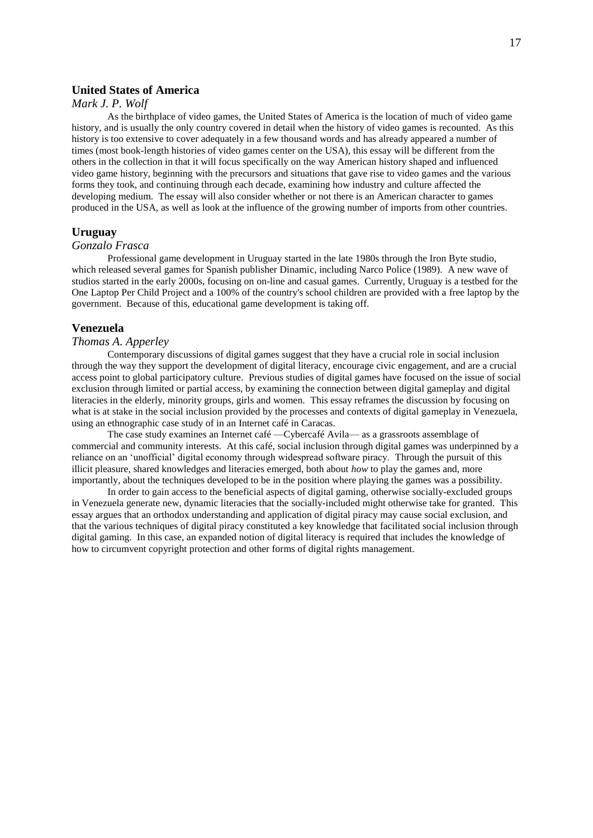# **United States of America**

## *Mark J. P. Wolf*

As the birthplace of video games, the United States of America is the location of much of video game history, and is usually the only country covered in detail when the history of video games is recounted. As this history is too extensive to cover adequately in a few thousand words and has already appeared a number of times (most book-length histories of video games center on the USA), this essay will be different from the others in the collection in that it will focus specifically on the way American history shaped and influenced video game history, beginning with the precursors and situations that gave rise to video games and the various forms they took, and continuing through each decade, examining how industry and culture affected the developing medium. The essay will also consider whether or not there is an American character to games produced in the USA, as well as look at the influence of the growing number of imports from other countries.

#### **Uruguay**

## *Gonzalo Frasca*

Professional game development in Uruguay started in the late 1980s through the Iron Byte studio, which released several games for Spanish publisher Dinamic, including Narco Police (1989). A new wave of studios started in the early 2000s, focusing on on-line and casual games. Currently, Uruguay is a testbed for the One Laptop Per Child Project and a 100% of the country's school children are provided with a free laptop by the government. Because of this, educational game development is taking off.

## **Venezuela**

## *Thomas A. Apperley*

Contemporary discussions of digital games suggest that they have a crucial role in social inclusion through the way they support the development of digital literacy, encourage civic engagement, and are a crucial access point to global participatory culture. Previous studies of digital games have focused on the issue of social exclusion through limited or partial access, by examining the connection between digital gameplay and digital literacies in the elderly, minority groups, girls and women. This essay reframes the discussion by focusing on what is at stake in the social inclusion provided by the processes and contexts of digital gameplay in Venezuela, using an ethnographic case study of in an Internet café in Caracas.

The case study examines an Internet café —Cybercafé Avila— as a grassroots assemblage of commercial and community interests. At this café, social inclusion through digital games was underpinned by a reliance on an 'unofficial' digital economy through widespread software piracy. Through the pursuit of this illicit pleasure, shared knowledges and literacies emerged, both about *how* to play the games and, more importantly, about the techniques developed to be in the position where playing the games was a possibility.

In order to gain access to the beneficial aspects of digital gaming, otherwise socially-excluded groups in Venezuela generate new, dynamic literacies that the socially-included might otherwise take for granted. This essay argues that an orthodox understanding and application of digital piracy may cause social exclusion, and that the various techniques of digital piracy constituted a key knowledge that facilitated social inclusion through digital gaming. In this case, an expanded notion of digital literacy is required that includes the knowledge of how to circumvent copyright protection and other forms of digital rights management.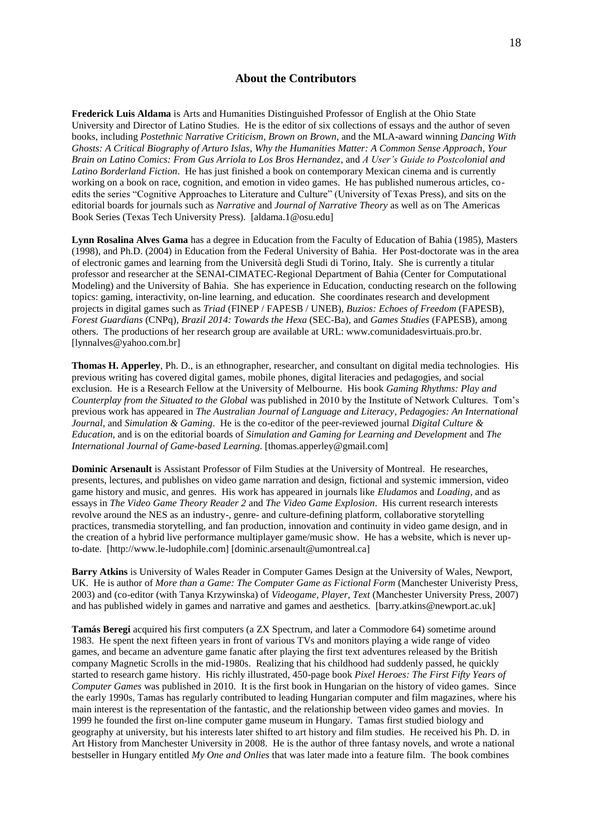# **About the Contributors**

**Frederick Luis Aldama** is Arts and Humanities Distinguished Professor of English at the Ohio State University and Director of Latino Studies. He is the editor of six collections of essays and the author of seven books, including *Postethnic Narrative Criticism*, *Brown on Brown*, and the MLA-award winning *Dancing With Ghosts: A Critical Biography of Arturo Islas*, *Why the Humanities Matter: A Common Sense Approach*, *Your Brain on Latino Comics: From Gus Arriola to Los Bros Hernandez*, and *A User's Guide to Postcolonial and Latino Borderland Fiction*.He has just finished a book on contemporary Mexican cinema and is currently working on a book on race, cognition, and emotion in video games. He has published numerous articles, coedits the series "Cognitive Approaches to Literature and Culture" (University of Texas Press), and sits on the editorial boards for journals such as *Narrative* and *Journal of Narrative Theory* as well as on The Americas Book Series (Texas Tech University Press). [aldama.1@osu.edu]

**Lynn Rosalina Alves Gama** has a degree in Education from the Faculty of Education of Bahia (1985), Masters (1998), and Ph.D. (2004) in Education from the Federal University of Bahia. Her Post-doctorate was in the area of electronic games and learning from the Università degli Studi di Torino, Italy. She is currently a titular professor and researcher at the SENAI-CIMATEC-Regional Department of Bahia (Center for Computational Modeling) and the University of Bahia. She has experience in Education, conducting research on the following topics: gaming, interactivity, on-line learning, and education. She coordinates research and development projects in digital games such as *Triad* (FINEP / FAPESB / UNEB), *Buzios: Echoes of Freedom* (FAPESB), *Forest Guardians* (CNPq), *Brazil 2014: Towards the Hexa* (SEC-Ba), and *Games Studies* (FAPESB), among others. The productions of her research group are available at URL: www.comunidadesvirtuais.pro.br. [lynnalves@yahoo.com.br]

**Thomas H. Apperley**, Ph. D., is an ethnographer, researcher, and consultant on digital media technologies. His previous writing has covered digital games, mobile phones, digital literacies and pedagogies, and social exclusion. He is a Research Fellow at the University of Melbourne. His book *Gaming Rhythms: Play and Counterplay from the Situated to the Global* was published in 2010 by the Institute of Network Cultures. Tom's previous work has appeared in *The Australian Journal of Language and Literacy*, *Pedagogies: An International Journal*, and *Simulation & Gaming*. He is the co-editor of the peer-reviewed journal *Digital Culture & Education*, and is on the editorial boards of *Simulation and Gaming for Learning and Development* and *The International Journal of Game-based Learning*. [thomas.apperley@gmail.com]

**Dominic Arsenault** is Assistant Professor of Film Studies at the University of Montreal. He researches, presents, lectures, and publishes on video game narration and design, fictional and systemic immersion, video game history and music, and genres. His work has appeared in journals like *Eludamos* and *Loading*, and as essays in *The Video Game Theory Reader 2* and *The Video Game Explosion*. His current research interests revolve around the NES as an industry-, genre- and culture-defining platform, collaborative storytelling practices, transmedia storytelling, and fan production, innovation and continuity in video game design, and in the creation of a hybrid live performance multiplayer game/music show. He has a website, which is never upto-date. [http://www.le-ludophile.com] [dominic.arsenault@umontreal.ca]

**Barry Atkins** is University of Wales Reader in Computer Games Design at the University of Wales, Newport, UK. He is author of *More than a Game: The Computer Game as Fictional Form* (Manchester Univeristy Press, 2003) and (co-editor (with Tanya Krzywinska) of *Videogame, Player, Text* (Manchester University Press, 2007) and has published widely in games and narrative and games and aesthetics. [barry.atkins@newport.ac.uk]

**Tamás Beregi** acquired his first computers (a ZX Spectrum, and later a Commodore 64) sometime around 1983. He spent the next fifteen years in front of various TVs and monitors playing a wide range of video games, and became an adventure game fanatic after playing the first text adventures released by the British company Magnetic Scrolls in the mid-1980s. Realizing that his childhood had suddenly passed, he quickly started to research game history. His richly illustrated, 450-page book *Pixel Heroes: The First Fifty Years of Computer Games* was published in 2010. It is the first book in Hungarian on the history of video games. Since the early 1990s, Tamas has regularly contributed to leading Hungarian computer and film magazines, where his main interest is the representation of the fantastic, and the relationship between video games and movies. In 1999 he founded the first on-line computer game museum in Hungary. Tamas first studied biology and geography at university, but his interests later shifted to art history and film studies. He received his Ph. D. in Art History from Manchester University in 2008. He is the author of three fantasy novels, and wrote a national bestseller in Hungary entitled *My One and Onlies* that was later made into a feature film. The book combines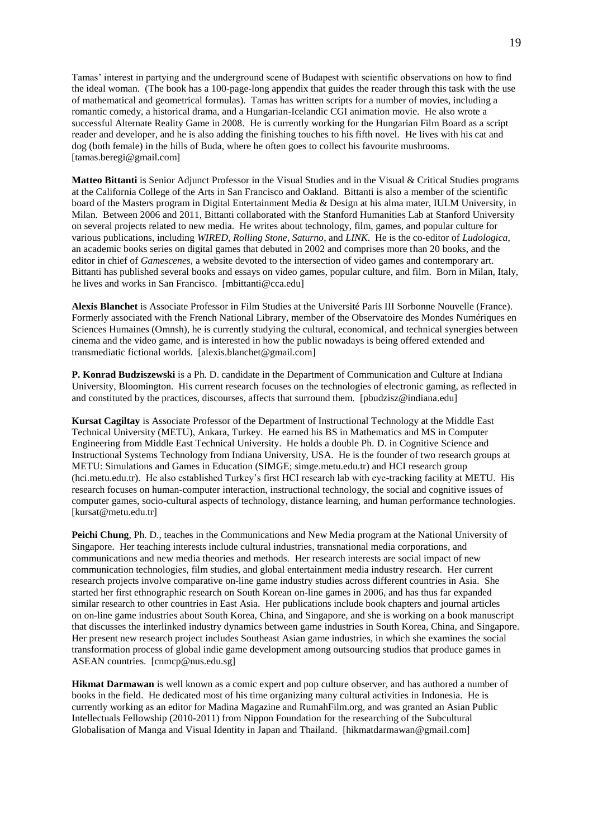Tamas' interest in partying and the underground scene of Budapest with scientific observations on how to find the ideal woman. (The book has a 100-page-long appendix that guides the reader through this task with the use of mathematical and geometrical formulas). Tamas has written scripts for a number of movies, including a romantic comedy, a historical drama, and a Hungarian-Icelandic CGI animation movie. He also wrote a successful Alternate Reality Game in 2008. He is currently working for the Hungarian Film Board as a script reader and developer, and he is also adding the finishing touches to his fifth novel. He lives with his cat and dog (both female) in the hills of Buda, where he often goes to collect his favourite mushrooms. [tamas.beregi@gmail.com]

**Matteo Bittanti** is Senior Adjunct Professor in the Visual Studies and in the Visual & Critical Studies programs at the California College of the Arts in San Francisco and Oakland. Bittanti is also a member of the scientific board of the Masters program in Digital Entertainment Media & Design at his alma mater, IULM University, in Milan. Between 2006 and 2011, Bittanti collaborated with the Stanford Humanities Lab at Stanford University on several projects related to new media. He writes about technology, film, games, and popular culture for various publications, including *WIRED*, *Rolling Stone*, *Saturno*, and *LINK*. He is the co-editor of *Ludologica*, an academic books series on digital games that debuted in 2002 and comprises more than 20 books, and the editor in chief of *Gamescenes*, a website devoted to the intersection of video games and contemporary art. Bittanti has published several books and essays on video games, popular culture, and film. Born in Milan, Italy, he lives and works in San Francisco. [mbittanti@cca.edu]

**Alexis Blanchet** is Associate Professor in Film Studies at the Université Paris III Sorbonne Nouvelle (France). Formerly associated with the French National Library, member of the Observatoire des Mondes Numériques en Sciences Humaines (Omnsh), he is currently studying the cultural, economical, and technical synergies between cinema and the video game, and is interested in how the public nowadays is being offered extended and transmediatic fictional worlds. [alexis.blanchet@gmail.com]

**P. Konrad Budziszewski** is a Ph. D. candidate in the Department of Communication and Culture at Indiana University, Bloomington. His current research focuses on the technologies of electronic gaming, as reflected in and constituted by the practices, discourses, affects that surround them. [pbudzisz@indiana.edu]

**Kursat Cagiltay** is Associate Professor of the Department of Instructional Technology at the Middle East Technical University (METU), Ankara, Turkey. He earned his BS in Mathematics and MS in Computer Engineering from Middle East Technical University. He holds a double Ph. D. in Cognitive Science and Instructional Systems Technology from Indiana University, USA. He is the founder of two research groups at METU: Simulations and Games in Education (SIMGE; simge.metu.edu.tr) and HCI research group (hci.metu.edu.tr). He also established Turkey's first HCI research lab with eye-tracking facility at METU. His research focuses on human-computer interaction, instructional technology, the social and cognitive issues of computer games, socio-cultural aspects of technology, distance learning, and human performance technologies. [kursat@metu.edu.tr]

**Peichi Chung**, Ph. D., teaches in the Communications and New Media program at the National University of Singapore. Her teaching interests include cultural industries, transnational media corporations, and communications and new media theories and methods. Her research interests are social impact of new communication technologies, film studies, and global entertainment media industry research. Her current research projects involve comparative on-line game industry studies across different countries in Asia. She started her first ethnographic research on South Korean on-line games in 2006, and has thus far expanded similar research to other countries in East Asia. Her publications include book chapters and journal articles on on-line game industries about South Korea, China, and Singapore, and she is working on a book manuscript that discusses the interlinked industry dynamics between game industries in South Korea, China, and Singapore. Her present new research project includes Southeast Asian game industries, in which she examines the social transformation process of global indie game development among outsourcing studios that produce games in ASEAN countries. [cnmcp@nus.edu.sg]

**Hikmat Darmawan** is well known as a comic expert and pop culture observer, and has authored a number of books in the field. He dedicated most of his time organizing many cultural activities in Indonesia. He is currently working as an editor for Madina Magazine and RumahFilm.org, and was granted an Asian Public Intellectuals Fellowship (2010-2011) from Nippon Foundation for the researching of the Subcultural Globalisation of Manga and Visual Identity in Japan and Thailand. [hikmatdarmawan@gmail.com]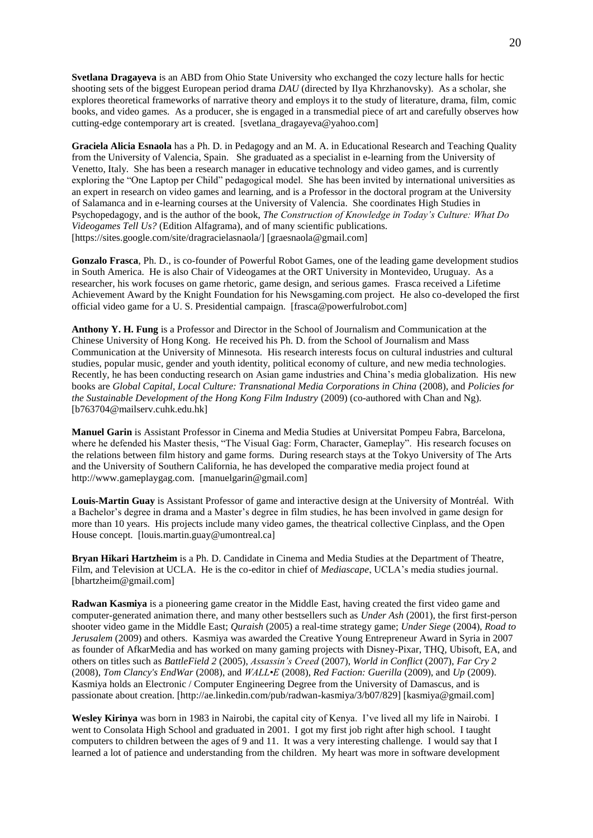**Svetlana Dragayeva** is an ABD from Ohio State University who exchanged the cozy lecture halls for hectic shooting sets of the biggest European period drama *DAU* (directed by Ilya Khrzhanovsky). As a scholar, she explores theoretical frameworks of narrative theory and employs it to the study of literature, drama, film, comic books, and video games. As a producer, she is engaged in a transmedial piece of art and carefully observes how cutting-edge contemporary art is created. [svetlana\_dragayeva@yahoo.com]

**Graciela Alicia Esnaola** has a Ph. D. in Pedagogy and an M. A. in Educational Research and Teaching Quality from the University of Valencia, Spain. She graduated as a specialist in e-learning from the University of Venetto, Italy. She has been a research manager in educative technology and video games, and is currently exploring the "One Laptop per Child" pedagogical model. She has been invited by international universities as an expert in research on video games and learning, and is a Professor in the doctoral program at the University of Salamanca and in e-learning courses at the University of Valencia. She coordinates High Studies in Psychopedagogy, and is the author of the book, *The Construction of Knowledge in Today's Culture: What Do Videogames Tell Us?* (Edition Alfagrama), and of many scientific publications. [https://sites.google.com/site/dragracielasnaola/] [graesnaola@gmail.com]

**Gonzalo Frasca**, Ph. D., is co-founder of Powerful Robot Games, one of the leading game development studios in South America. He is also Chair of Videogames at the ORT University in Montevideo, Uruguay. As a researcher, his work focuses on game rhetoric, game design, and serious games. Frasca received a Lifetime Achievement Award by the Knight Foundation for his Newsgaming.com project. He also co-developed the first official video game for a U. S. Presidential campaign. [frasca@powerfulrobot.com]

**Anthony Y. H. Fung** is a Professor and Director in the School of Journalism and Communication at the Chinese University of Hong Kong. He received his Ph. D. from the School of Journalism and Mass Communication at the University of Minnesota. His research interests focus on cultural industries and cultural studies, popular music, gender and youth identity, political economy of culture, and new media technologies. Recently, he has been conducting research on Asian game industries and China's media globalization. His new books are *Global Capital, Local Culture: Transnational Media Corporations in China* (2008), and *Policies for the Sustainable Development of the Hong Kong Film Industry* (2009) (co-authored with Chan and Ng). [b763704@mailserv.cuhk.edu.hk]

**Manuel Garin** is Assistant Professor in Cinema and Media Studies at Universitat Pompeu Fabra, Barcelona, where he defended his Master thesis, "The Visual Gag: Form, Character, Gameplay". His research focuses on the relations between film history and game forms. During research stays at the Tokyo University of The Arts and the University of Southern California, he has developed the comparative media project found at http://www.gameplaygag.com. [manuelgarin@gmail.com]

**Louis-Martin Guay** is Assistant Professor of game and interactive design at the University of Montréal. With a Bachelor's degree in drama and a Master's degree in film studies, he has been involved in game design for more than 10 years. His projects include many video games, the theatrical collective Cinplass, and the Open House concept. [louis.martin.guay@umontreal.ca]

**Bryan Hikari Hartzheim** is a Ph. D. Candidate in Cinema and Media Studies at the Department of Theatre, Film, and Television at UCLA. He is the co-editor in chief of *Mediascape*, UCLA's media studies journal. [bhartzheim@gmail.com]

**Radwan Kasmiya** is a pioneering game creator in the Middle East, having created the first video game and computer-generated animation there, and many other bestsellers such as *Under Ash* (2001), the first first-person shooter video game in the Middle East; *Quraish* (2005) a real-time strategy game; *Under Siege* (2004), *Road to Jerusalem* (2009) and others. Kasmiya was awarded the Creative Young Entrepreneur Award in Syria in 2007 as founder of AfkarMedia and has worked on many gaming projects with Disney-Pixar, THQ, Ubisoft, EA, and others on titles such as *BattleField 2* (2005), *Assassin's Creed* (2007), *World in Conflict* (2007), *Far Cry 2* (2008), *Tom Clancy's EndWar* (2008), and *WALL•E* (2008), *Red Faction: Guerilla* (2009), and *Up* (2009). Kasmiya holds an Electronic / Computer Engineering Degree from the University of Damascus, and is passionate about creation. [http://ae.linkedin.com/pub/radwan-kasmiya/3/b07/829] [kasmiya@gmail.com]

**Wesley Kirinya** was born in 1983 in Nairobi, the capital city of Kenya. I've lived all my life in Nairobi. I went to Consolata High School and graduated in 2001. I got my first job right after high school. I taught computers to children between the ages of 9 and 11. It was a very interesting challenge. I would say that I learned a lot of patience and understanding from the children. My heart was more in software development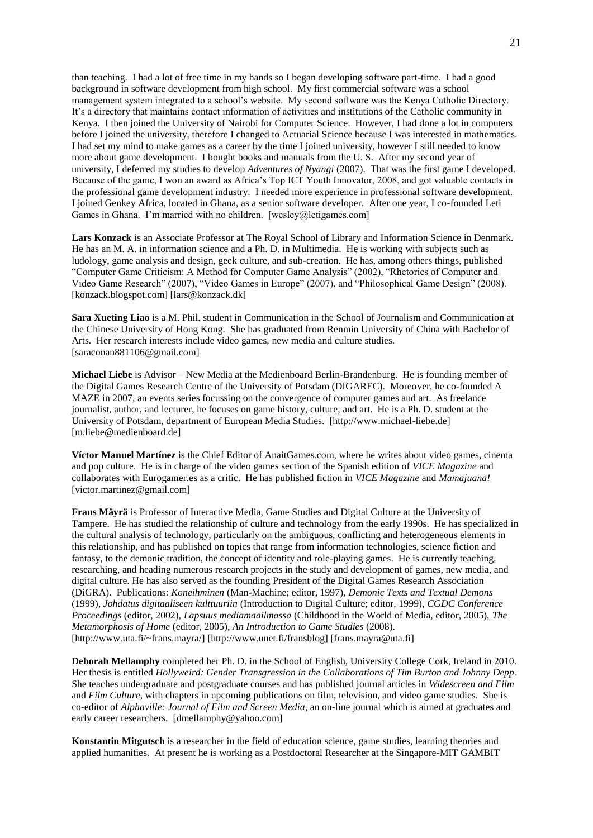than teaching. I had a lot of free time in my hands so I began developing software part-time. I had a good background in software development from high school. My first commercial software was a school management system integrated to a school's website. My second software was the Kenya Catholic Directory. It's a directory that maintains contact information of activities and institutions of the Catholic community in Kenya. I then joined the University of Nairobi for Computer Science. However, I had done a lot in computers before I joined the university, therefore I changed to Actuarial Science because I was interested in mathematics. I had set my mind to make games as a career by the time I joined university, however I still needed to know more about game development. I bought books and manuals from the U. S. After my second year of university, I deferred my studies to develop *Adventures of Nyangi* (2007). That was the first game I developed. Because of the game, I won an award as Africa's Top ICT Youth Innovator, 2008, and got valuable contacts in the professional game development industry. I needed more experience in professional software development. I joined Genkey Africa, located in Ghana, as a senior software developer. After one year, I co-founded Leti Games in Ghana. I'm married with no children. [wesley@letigames.com]

**Lars Konzack** is an Associate Professor at The Royal School of Library and Information Science in Denmark. He has an M. A. in information science and a Ph. D. in Multimedia. He is working with subjects such as ludology, game analysis and design, geek culture, and sub-creation. He has, among others things, published "Computer Game Criticism: A Method for Computer Game Analysis" (2002), "Rhetorics of Computer and Video Game Research" (2007), "Video Games in Europe" (2007), and "Philosophical Game Design" (2008). [konzack.blogspot.com] [lars@konzack.dk]

**Sara Xueting Liao** is a M. Phil. student in Communication in the School of Journalism and Communication at the Chinese University of Hong Kong. She has graduated from Renmin University of China with Bachelor of Arts. Her research interests include video games, new media and culture studies. [saraconan881106@gmail.com]

**Michael Liebe** is Advisor – New Media at the Medienboard Berlin-Brandenburg. He is founding member of the Digital Games Research Centre of the University of Potsdam (DIGAREC). Moreover, he co-founded A MAZE in 2007, an events series focussing on the convergence of computer games and art. As freelance journalist, author, and lecturer, he focuses on game history, culture, and art. He is a Ph. D. student at the University of Potsdam, department of European Media Studies. [http://www.michael-liebe.de] [m.liebe@medienboard.de]

**Víctor Manuel Martínez** is the Chief Editor of AnaitGames.com, where he writes about video games, cinema and pop culture. He is in charge of the video games section of the Spanish edition of *VICE Magazine* and collaborates with Eurogamer.es as a critic. He has published fiction in *VICE Magazine* and *Mamajuana!* [victor.martinez@gmail.com]

**Frans Mäyrä** is Professor of Interactive Media, Game Studies and Digital Culture at the University of Tampere. He has studied the relationship of culture and technology from the early 1990s. He has specialized in the cultural analysis of technology, particularly on the ambiguous, conflicting and heterogeneous elements in this relationship, and has published on topics that range from information technologies, science fiction and fantasy, to the demonic tradition, the concept of identity and role-playing games. He is currently teaching, researching, and heading numerous research projects in the study and development of games, new media, and digital culture. He has also served as the founding President of the Digital Games Research Association (DiGRA). Publications: *Koneihminen* (Man-Machine; editor, 1997), *Demonic Texts and Textual Demons* (1999), *Johdatus digitaaliseen kulttuuriin* (Introduction to Digital Culture; editor, 1999), *CGDC Conference Proceedings* (editor, 2002), *Lapsuus mediamaailmassa* (Childhood in the World of Media, editor, 2005), *The Metamorphosis of Home* (editor, 2005), *An Introduction to Game Studies* (2008). [http://www.uta.fi/~frans.mayra/] [http://www.unet.fi/fransblog] [frans.mayra@uta.fi]

**Deborah Mellamphy** completed her Ph. D. in the School of English, University College Cork, Ireland in 2010. Her thesis is entitled *Hollyweird: Gender Transgression in the Collaborations of Tim Burton and Johnny Depp*. She teaches undergraduate and postgraduate courses and has published journal articles in *Widescreen and Film* and *Film Culture*, with chapters in upcoming publications on film, television, and video game studies. She is co-editor of *Alphaville: Journal of Film and Screen Media*, an on-line journal which is aimed at graduates and early career researchers. [dmellamphy@yahoo.com]

**Konstantin Mitgutsch** is a researcher in the field of education science, game studies, learning theories and applied humanities. At present he is working as a Postdoctoral Researcher at the Singapore-MIT GAMBIT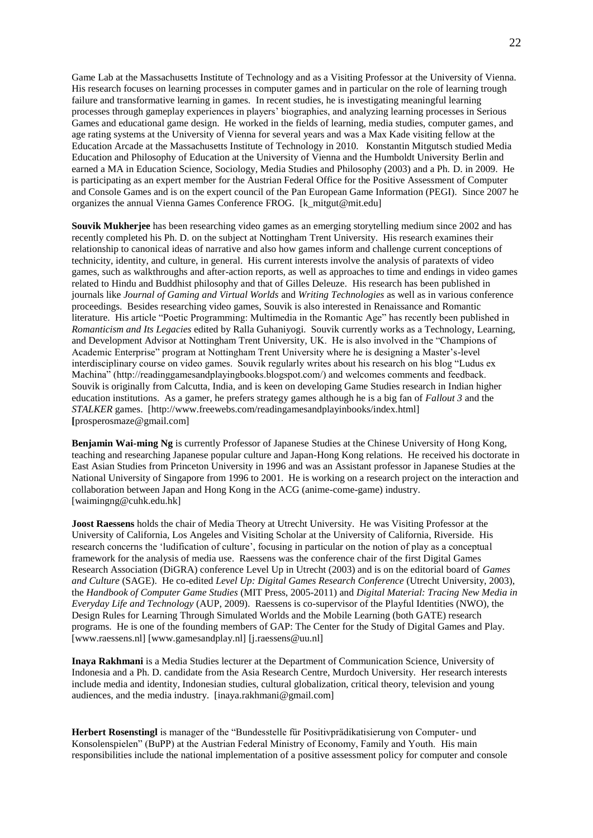Game Lab at the Massachusetts Institute of Technology and as a Visiting Professor at the University of Vienna. His research focuses on learning processes in computer games and in particular on the role of learning trough failure and transformative learning in games. In recent studies, he is investigating meaningful learning processes through gameplay experiences in players' biographies, and analyzing learning processes in Serious Games and educational game design. He worked in the fields of learning, media studies, computer games, and age rating systems at the University of Vienna for several years and was a Max Kade visiting fellow at the Education Arcade at the Massachusetts Institute of Technology in 2010. Konstantin Mitgutsch studied Media Education and Philosophy of Education at the University of Vienna and the Humboldt University Berlin and earned a MA in Education Science, Sociology, Media Studies and Philosophy (2003) and a Ph. D. in 2009. He is participating as an expert member for the Austrian Federal Office for the Positive Assessment of Computer and Console Games and is on the expert council of the Pan European Game Information (PEGI). Since 2007 he organizes the annual Vienna Games Conference FROG. [k\_mitgut@mit.edu]

**Souvik Mukherjee** has been researching video games as an emerging storytelling medium since 2002 and has recently completed his Ph. D. on the subject at Nottingham Trent University. His research examines their relationship to canonical ideas of narrative and also how games inform and challenge current conceptions of technicity, identity, and culture, in general. His current interests involve the analysis of paratexts of video games, such as walkthroughs and after-action reports, as well as approaches to time and endings in video games related to Hindu and Buddhist philosophy and that of Gilles Deleuze. His research has been published in journals like *Journal of Gaming and Virtual Worlds* and *Writing Technologies* as well as in various conference proceedings.Besides researching video games, Souvik is also interested in Renaissance and Romantic literature. His article "Poetic Programming: Multimedia in the Romantic Age" has recently been published in *Romanticism and Its Legacies* edited by Ralla Guhaniyogi. Souvik currently works as a Technology, Learning, and Development Advisor at Nottingham Trent University, UK. He is also involved in the "Champions of Academic Enterprise" program at Nottingham Trent University where he is designing a Master's-level interdisciplinary course on video games. Souvik regularly writes about his research on his blog "Ludus ex Machina" (http://readinggamesandplayingbooks.blogspot.com/) and welcomes comments and feedback. Souvik is originally from Calcutta, India, and is keen on developing Game Studies research in Indian higher education institutions. As a gamer, he prefers strategy games although he is a big fan of *Fallout 3* and the *STALKER* games. [http://www.freewebs.com/readingamesandplayinbooks/index.html] **[**prosperosmaze@gmail.com]

**Benjamin Wai-ming Ng** is currently Professor of Japanese Studies at the Chinese University of Hong Kong, teaching and researching Japanese popular culture and Japan-Hong Kong relations. He received his doctorate in East Asian Studies from Princeton University in 1996 and was an Assistant professor in Japanese Studies at the National University of Singapore from 1996 to 2001. He is working on a research project on the interaction and collaboration between Japan and Hong Kong in the ACG (anime-come-game) industry. [waimingng@cuhk.edu.hk]

**Joost Raessens** holds the chair of Media Theory at Utrecht University. He was Visiting Professor at the University of California, Los Angeles and Visiting Scholar at the University of California, Riverside. His research concerns the 'ludification of culture', focusing in particular on the notion of play as a conceptual framework for the analysis of media use. Raessens was the conference chair of the first Digital Games Research Association (DiGRA) conference Level Up in Utrecht (2003) and is on the editorial board of *Games and Culture* (SAGE). He co-edited *Level Up: Digital Games Research Conference* (Utrecht University, 2003), the *Handbook of Computer Game Studies* (MIT Press, 2005-2011) and *Digital Material: Tracing New Media in Everyday Life and Technology* (AUP, 2009). Raessens is co-supervisor of the Playful Identities (NWO), the Design Rules for Learning Through Simulated Worlds and the Mobile Learning (both GATE) research programs. He is one of the founding members of GAP: The Center for the Study of Digital Games and Play. [www.raessens.nl] [www.gamesandplay.nl] [j.raessens@uu.nl]

**Inaya Rakhmani** is a Media Studies lecturer at the Department of Communication Science, University of Indonesia and a Ph. D. candidate from the Asia Research Centre, Murdoch University. Her research interests include media and identity, Indonesian studies, cultural globalization, critical theory, television and young audiences, and the media industry. [inaya.rakhmani@gmail.com]

**Herbert Rosenstingl** is manager of the "Bundesstelle für Positivprädikatisierung von Computer- und Konsolenspielen" (BuPP) at the Austrian Federal Ministry of Economy, Family and Youth. His main responsibilities include the national implementation of a positive assessment policy for computer and console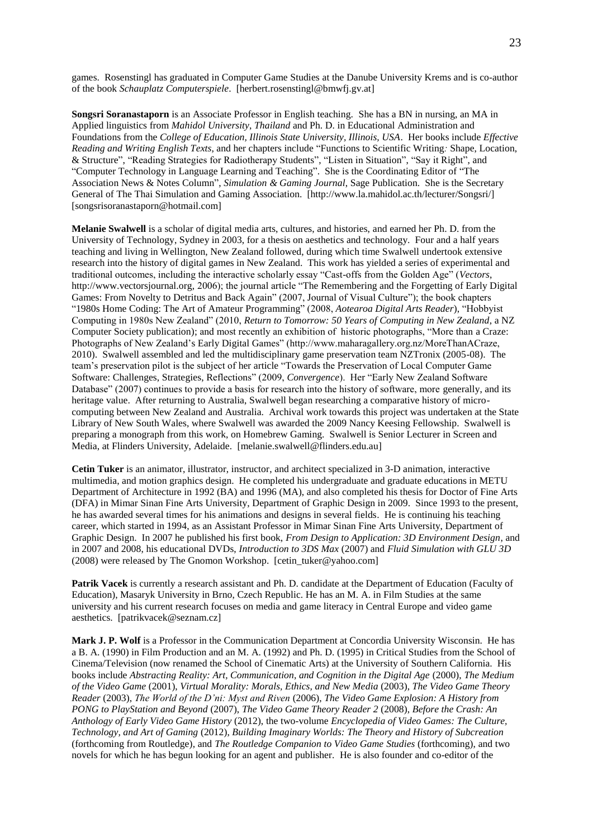games. Rosenstingl has graduated in Computer Game Studies at the Danube University Krems and is co-author of the book *Schauplatz Computerspiele*. [herbert.rosenstingl@bmwfj.gv.at]

**Songsri Soranastaporn** is an Associate Professor in English teaching. She has a BN in nursing, an MA in Applied linguistics from *Mahidol University*, *Thailand* and Ph. D. in Educational Administration and Foundations from the *College of Education, Illinois State University, Illinois, USA*. Her books include *Effective Reading and Writing English Texts*, and her chapters include "Functions to Scientific Writing*:* Shape, Location, & Structure", "Reading Strategies for Radiotherapy Students", "Listen in Situation", "Say it Right", and "Computer Technology in Language Learning and Teaching". She is the Coordinating Editor of "The Association News & Notes Column", *Simulation & Gaming Journal*, Sage Publication. She is the Secretary General of The Thai Simulation and Gaming Association. [http://www.la.mahidol.ac.th/lecturer/Songsri/] [songsrisoranastaporn@hotmail.com]

**Melanie Swalwell** is a scholar of digital media arts, cultures, and histories, and earned her Ph. D. from the University of Technology, Sydney in 2003, for a thesis on aesthetics and technology. Four and a half years teaching and living in Wellington, New Zealand followed, during which time Swalwell undertook extensive research into the history of digital games in New Zealand. This work has yielded a series of experimental and traditional outcomes, including the interactive scholarly essay "Cast-offs from the Golden Age" (*Vectors*, http://www.vectorsjournal.org, 2006); the journal article "The Remembering and the Forgetting of Early Digital Games: From Novelty to Detritus and Back Again" (2007, Journal of Visual Culture"); the book chapters "1980s Home Coding: The Art of Amateur Programming" (2008, *Aotearoa Digital Arts Reader*), "Hobbyist Computing in 1980s New Zealand" (2010, *Return to Tomorrow: 50 Years of Computing in New Zealand*, a NZ Computer Society publication); and most recently an exhibition of historic photographs, "More than a Craze: Photographs of New Zealand's Early Digital Games" (http://www.maharagallery.org.nz/MoreThanACraze, 2010). Swalwell assembled and led the multidisciplinary game preservation team NZTronix (2005-08). The team's preservation pilot is the subject of her article "Towards the Preservation of Local Computer Game Software: Challenges, Strategies, Reflections" (2009, *Convergence*). Her "Early New Zealand Software Database" (2007) continues to provide a basis for research into the history of software, more generally, and its heritage value. After returning to Australia, Swalwell began researching a comparative history of microcomputing between New Zealand and Australia. Archival work towards this project was undertaken at the State Library of New South Wales, where Swalwell was awarded the 2009 Nancy Keesing Fellowship. Swalwell is preparing a monograph from this work, on Homebrew Gaming. Swalwell is Senior Lecturer in Screen and Media, at Flinders University, Adelaide. [melanie.swalwell@flinders.edu.au]

**Cetin Tuker** is an animator, illustrator, instructor, and architect specialized in 3-D animation, interactive multimedia, and motion graphics design. He completed his undergraduate and graduate educations in METU Department of Architecture in 1992 (BA) and 1996 (MA), and also completed his thesis for Doctor of Fine Arts (DFA) in Mimar Sinan Fine Arts University, Department of Graphic Design in 2009. Since 1993 to the present, he has awarded several times for his animations and designs in several fields. He is continuing his teaching career, which started in 1994, as an Assistant Professor in Mimar Sinan Fine Arts University, Department of Graphic Design. In 2007 he published his first book, *From Design to Application: 3D Environment Design*, and in 2007 and 2008, his educational DVDs, *Introduction to 3DS Max* (2007) and *Fluid Simulation with GLU 3D* (2008) were released by The Gnomon Workshop. [cetin\_tuker@yahoo.com]

**Patrik Vacek** is currently a research assistant and Ph. D. candidate at the Department of Education (Faculty of Education), Masaryk University in Brno, Czech Republic. He has an M. A. in Film Studies at the same university and his current research focuses on media and game literacy in Central Europe and video game aesthetics. [patrikvacek@seznam.cz]

**Mark J. P. Wolf** is a Professor in the Communication Department at Concordia University Wisconsin. He has a B. A. (1990) in Film Production and an M. A. (1992) and Ph. D. (1995) in Critical Studies from the School of Cinema/Television (now renamed the School of Cinematic Arts) at the University of Southern California. His books include *Abstracting Reality: Art, Communication, and Cognition in the Digital Age* (2000), *The Medium of the Video Game* (2001), *Virtual Morality: Morals, Ethics, and New Media* (2003), *The Video Game Theory Reader* (2003), *The World of the D'ni: Myst and Riven* (2006), *The Video Game Explosion: A History from PONG to PlayStation and Beyond* (2007), *The Video Game Theory Reader 2* (2008), *Before the Crash: An Anthology of Early Video Game History* (2012), the two-volume *Encyclopedia of Video Games: The Culture, Technology, and Art of Gaming* (2012), *Building Imaginary Worlds: The Theory and History of Subcreation* (forthcoming from Routledge), and *The Routledge Companion to Video Game Studies* (forthcoming), and two novels for which he has begun looking for an agent and publisher. He is also founder and co-editor of the